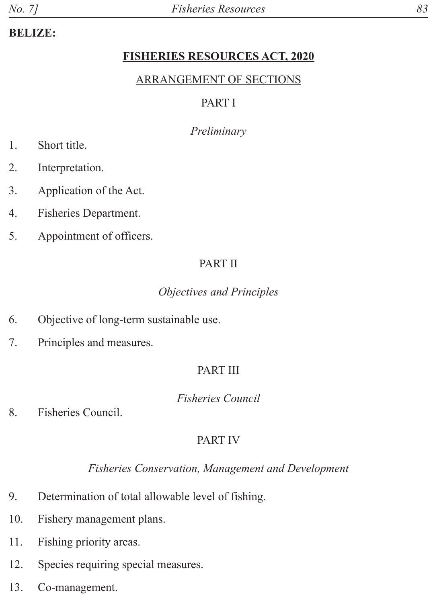### **BELIZE:**

### **FISHERIES RESOURCES ACT, 2020**

### ARRANGEMENT OF SECTIONS

## PART I

### *Preliminary*

- 1. Short title.
- 2. Interpretation.
- 3. Application of the Act.
- 4. Fisheries Department.
- 5. Appointment of officers.

## PART II

### *Objectives and Principles*

- 6. Objective of long-term sustainable use.
- 7. Principles and measures.

## PART III

*Fisheries Council*

8. Fisheries Council.

## PART IV

## *Fisheries Conservation, Management and Development*

- 9. Determination of total allowable level of fishing.
- 10. Fishery management plans.
- 11. Fishing priority areas.
- 12. Species requiring special measures.
- 13. Co-management.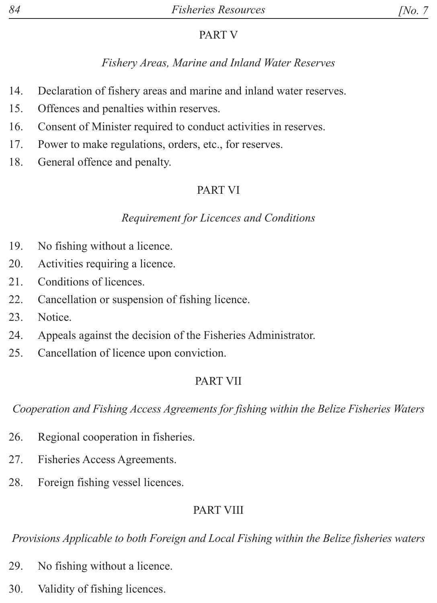## PART V

# *Fishery Areas, Marine and Inland Water Reserves*

- 14. Declaration of fishery areas and marine and inland water reserves.
- 15. Offences and penalties within reserves.
- 16. Consent of Minister required to conduct activities in reserves.
- 17. Power to make regulations, orders, etc., for reserves.
- 18. General offence and penalty.

# PART VI

## *Requirement for Licences and Conditions*

- 19. No fishing without a licence.
- 20. Activities requiring a licence.
- 21. Conditions of licences.
- 22. Cancellation or suspension of fishing licence.
- 23. Notice.
- 24. Appeals against the decision of the Fisheries Administrator.
- 25. Cancellation of licence upon conviction.

# PART VII

*Cooperation and Fishing Access Agreements for fishing within the Belize Fisheries Waters*

- 26. Regional cooperation in fisheries.
- 27. Fisheries Access Agreements.
- 28. Foreign fishing vessel licences.

# PART VIII

*Provisions Applicable to both Foreign and Local Fishing within the Belize fisheries waters*

- 29. No fishing without a licence.
- 30. Validity of fishing licences.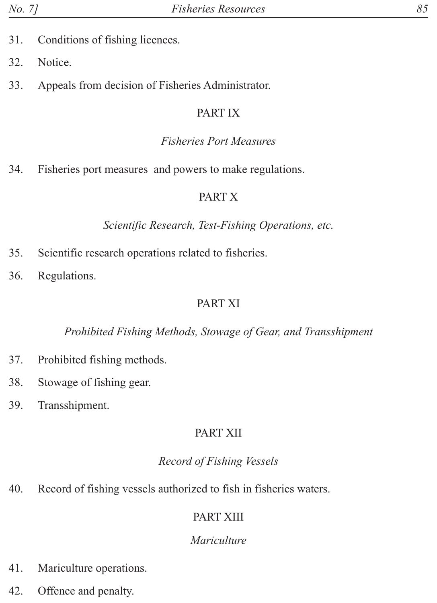- 31. Conditions of fishing licences.
- 32. Notice.
- 33. Appeals from decision of Fisheries Administrator.

### PART IX

### *Fisheries Port Measures*

34. Fisheries port measures and powers to make regulations.

### PART X

### *Scientific Research, Test-Fishing Operations, etc.*

- 35. Scientific research operations related to fisheries.
- 36. Regulations.

### PART XI

### *Prohibited Fishing Methods, Stowage of Gear, and Transshipment*

- 37. Prohibited fishing methods.
- 38. Stowage of fishing gear.
- 39. Transshipment.

## PART XII

## *Record of Fishing Vessels*

40. Record of fishing vessels authorized to fish in fisheries waters.

## PART XIII

## *Mariculture*

- 41. Mariculture operations.
- 42. Offence and penalty.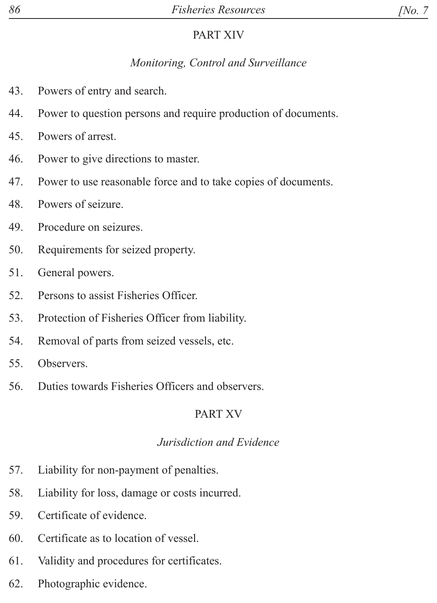### PART XIV

## *Monitoring, Control and Surveillance*

- 43. Powers of entry and search.
- 44. Power to question persons and require production of documents.
- 45. Powers of arrest.
- 46. Power to give directions to master.
- 47. Power to use reasonable force and to take copies of documents.
- 48. Powers of seizure.
- 49. Procedure on seizures.
- 50. Requirements for seized property.
- 51. General powers.
- 52. Persons to assist Fisheries Officer.
- 53. Protection of Fisheries Officer from liability.
- 54. Removal of parts from seized vessels, etc.
- 55. Observers.
- 56. Duties towards Fisheries Officers and observers.

# PART XV

## *Jurisdiction and Evidence*

- 57. Liability for non-payment of penalties.
- 58. Liability for loss, damage or costs incurred.
- 59. Certificate of evidence.
- 60. Certificate as to location of vessel.
- 61. Validity and procedures for certificates.
- 62. Photographic evidence.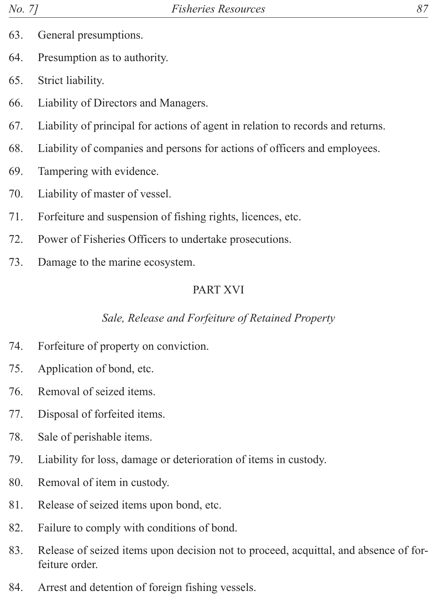- 63. General presumptions.
- 64. Presumption as to authority.
- 65. Strict liability.
- 66. Liability of Directors and Managers.
- 67. Liability of principal for actions of agent in relation to records and returns.
- 68. Liability of companies and persons for actions of officers and employees.
- 69. Tampering with evidence.
- 70. Liability of master of vessel.
- 71. Forfeiture and suspension of fishing rights, licences, etc.
- 72. Power of Fisheries Officers to undertake prosecutions.
- 73. Damage to the marine ecosystem.

## PART XVI

## *Sale, Release and Forfeiture of Retained Property*

- 74. Forfeiture of property on conviction.
- 75. Application of bond, etc.
- 76. Removal of seized items.
- 77. Disposal of forfeited items.
- 78. Sale of perishable items.
- 79. Liability for loss, damage or deterioration of items in custody.
- 80. Removal of item in custody.
- 81. Release of seized items upon bond, etc.
- 82. Failure to comply with conditions of bond.
- 83. Release of seized items upon decision not to proceed, acquittal, and absence of forfeiture order.
- 84. Arrest and detention of foreign fishing vessels.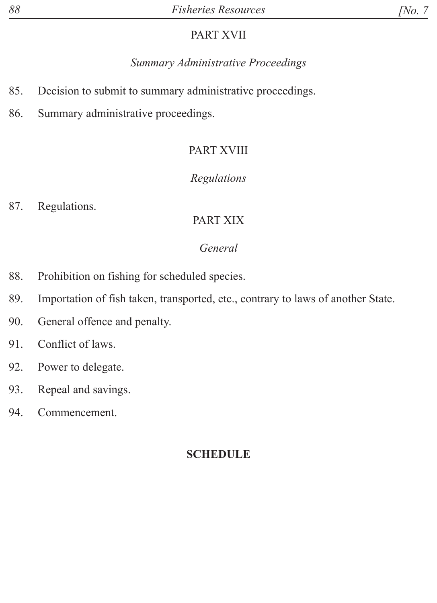### PART XVII

## *Summary Administrative Proceedings*

- 85. Decision to submit to summary administrative proceedings.
- 86. Summary administrative proceedings.

## PART XVIII

## *Regulations*

87. Regulations.

## PART XIX

## *General*

- 88. Prohibition on fishing for scheduled species.
- 89. Importation of fish taken, transported, etc., contrary to laws of another State.
- 90. General offence and penalty.
- 91. Conflict of laws.
- 92. Power to delegate.
- 93. Repeal and savings.
- 94. Commencement.

## **SCHEDULE**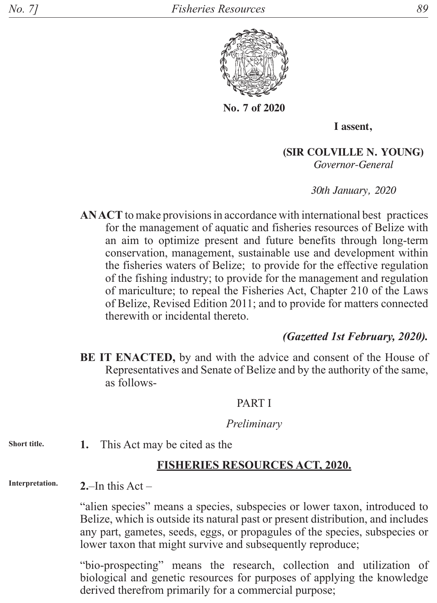

**No. 7 of 2020**

**I assent,**

**(SIR COLVILLE N. YOUNG)** *Governor-General*

*30th January, 2020*

**AN ACT** to make provisions in accordance with international best practices for the management of aquatic and fisheries resources of Belize with an aim to optimize present and future benefits through long-term conservation, management, sustainable use and development within the fisheries waters of Belize; to provide for the effective regulation of the fishing industry; to provide for the management and regulation of mariculture; to repeal the Fisheries Act, Chapter 210 of the Laws of Belize, Revised Edition 2011; and to provide for matters connected therewith or incidental thereto.

### *(Gazetted 1st February, 2020).*

**BE IT ENACTED,** by and with the advice and consent of the House of Representatives and Senate of Belize and by the authority of the same, as follows-

#### PART I

#### *Preliminary*

**1.** This Act may be cited as the **Short title.**

#### **FISHERIES RESOURCES ACT, 2020.**

**2.**–In this Act – **Interpretation.**

> "alien species" means a species, subspecies or lower taxon, introduced to Belize, which is outside its natural past or present distribution, and includes any part, gametes, seeds, eggs, or propagules of the species, subspecies or lower taxon that might survive and subsequently reproduce;

> "bio-prospecting" means the research, collection and utilization of biological and genetic resources for purposes of applying the knowledge derived therefrom primarily for a commercial purpose;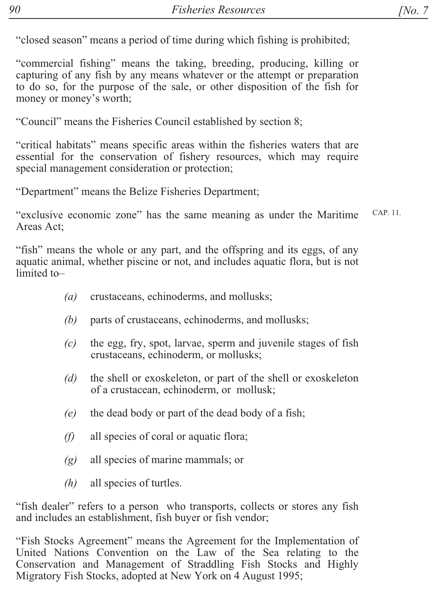"closed season" means a period of time during which fishing is prohibited;

"commercial fishing" means the taking, breeding, producing, killing or capturing of any fish by any means whatever or the attempt or preparation to do so, for the purpose of the sale, or other disposition of the fish for money or money's worth;

"Council" means the Fisheries Council established by section 8;

"critical habitats" means specific areas within the fisheries waters that are essential for the conservation of fishery resources, which may require special management consideration or protection;

"Department" means the Belize Fisheries Department;

CAP. 11. "exclusive economic zone" has the same meaning as under the Maritime Areas Act:

"fish" means the whole or any part, and the offspring and its eggs, of any aquatic animal, whether piscine or not, and includes aquatic flora, but is not limited to-

- $(a)$ crustaceans, echinoderms, and mollusks;
- (b) parts of crustaceans, echinoderms, and mollusks;
- the egg, fry, spot, larvae, sperm and juvenile stages of fish  $(c)$ crustaceans, echinoderm, or mollusks;
- $(d)$ the shell or exoskeleton, or part of the shell or exoskeleton of a crustacean, echinoderm, or mollusk;
- the dead body or part of the dead body of a fish;  $(e)$
- $(f)$ all species of coral or aquatic flora;
- all species of marine mammals; or  $(g)$
- $(h)$ all species of turtles.

"fish dealer" refers to a person who transports, collects or stores any fish and includes an establishment, fish buyer or fish vendor;

"Fish Stocks Agreement" means the Agreement for the Implementation of United Nations Convention on the Law of the Sea relating to the Conservation and Management of Straddling Fish Stocks and Highly Migratory Fish Stocks, adopted at New York on 4 August 1995;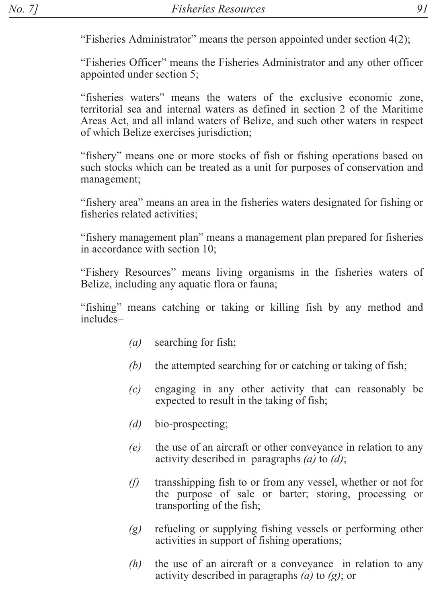"Fisheries Administrator" means the person appointed under section 4(2);

"Fisheries Officer" means the Fisheries Administrator and any other officer appointed under section 5;

"fisheries waters" means the waters of the exclusive economic zone, territorial sea and internal waters as defined in section 2 of the Maritime Areas Act, and all inland waters of Belize, and such other waters in respect of which Belize exercises jurisdiction;

"fishery" means one or more stocks of fish or fishing operations based on such stocks which can be treated as a unit for purposes of conservation and management;

"fishery area" means an area in the fisheries waters designated for fishing or fisheries related activities:

"fishery management plan" means a management plan prepared for fisheries in accordance with section 10:

"Fishery Resources" means living organisms in the fisheries waters of Belize, including any aquatic flora or fauna;

"fishing" means catching or taking or killing fish by any method and includes-

- searching for fish;  $(a)$
- the attempted searching for or catching or taking of fish; (b)
- $(c)$ engaging in any other activity that can reasonably be expected to result in the taking of fish;
- $(d)$ bio-prospecting;
- $(e)$ the use of an aircraft or other conveyance in relation to any activity described in paragraphs  $(a)$  to  $(d)$ ;
- $(f)$ transshipping fish to or from any vessel, whether or not for the purpose of sale or barter; storing, processing or transporting of the fish;
- refueling or supplying fishing vessels or performing other  $(g)$ activities in support of fishing operations;
- $(h)$ the use of an aircraft or a conveyance in relation to any activity described in paragraphs (a) to  $(g)$ ; or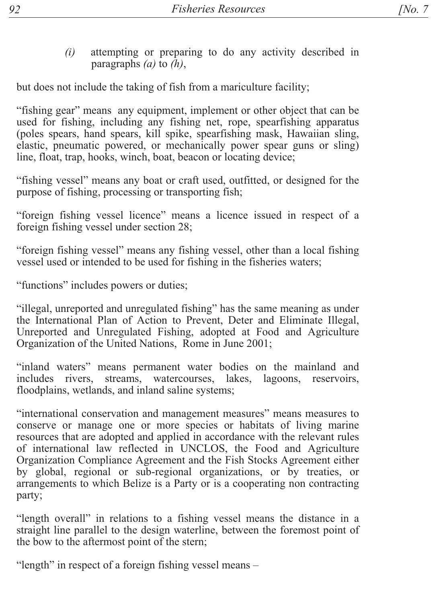attempting or preparing to do any activity described in  $(i)$ paragraphs  $(a)$  to  $(h)$ ,

but does not include the taking of fish from a mariculture facility;

"fishing gear" means any equipment, implement or other object that can be used for fishing, including any fishing net, rope, spearfishing apparatus (poles spears, hand spears, kill spike, spearfishing mask, Hawaiian sling, elastic, pneumatic powered, or mechanically power spear guns or sling) line, float, trap, hooks, winch, boat, beacon or locating device;

"fishing vessel" means any boat or craft used, outfitted, or designed for the purpose of fishing, processing or transporting fish;

"foreign fishing vessel licence" means a licence issued in respect of a foreign fishing vessel under section 28;

"foreign fishing vessel" means any fishing vessel, other than a local fishing vessel used or intended to be used for fishing in the fisheries waters;

"functions" includes powers or duties;

"illegal, unreported and unregulated fishing" has the same meaning as under the International Plan of Action to Prevent, Deter and Eliminate Illegal, Unreported and Unregulated Fishing, adopted at Food and Agriculture Organization of the United Nations, Rome in June 2001;

"inland waters" means permanent water bodies on the mainland and includes rivers, streams, watercourses, lakes, lagoons, reservoirs, floodplains, wetlands, and inland saline systems;

"international conservation and management measures" means measures to conserve or manage one or more species or habitats of living marine resources that are adopted and applied in accordance with the relevant rules of international law reflected in UNCLOS, the Food and Agriculture Organization Compliance Agreement and the Fish Stocks Agreement either by global, regional or sub-regional organizations, or by treaties, or arrangements to which Belize is a Party or is a cooperating non contracting party;

"length overall" in relations to a fishing vessel means the distance in a straight line parallel to the design waterline, between the foremost point of the bow to the aftermost point of the stern;

"length" in respect of a foreign fishing vessel means –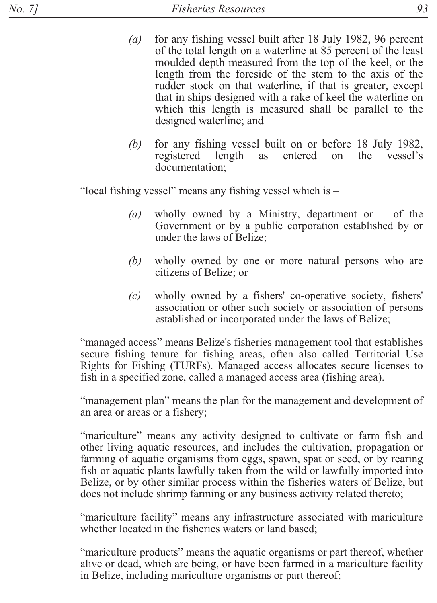- $(a)$ for any fishing vessel built after 18 July 1982, 96 percent of the total length on a waterline at 85 percent of the least moulded depth measured from the top of the keel, or the length from the foreside of the stem to the axis of the rudder stock on that waterline, if that is greater, except that in ships designed with a rake of keel the waterline on which this length is measured shall be parallel to the designed waterline; and
- for any fishing vessel built on or before 18 July 1982, (b) registered length as entered on the vessel's documentation:

"local fishing vessel" means any fishing vessel which is -

- $(a)$ wholly owned by a Ministry, department or of the Government or by a public corporation established by or under the laws of Belize;
- $(b)$ wholly owned by one or more natural persons who are citizens of Belize: or
- wholly owned by a fishers' co-operative society, fishers'  $(c)$ association or other such society or association of persons established or incorporated under the laws of Belize;

"managed access" means Belize's fisheries management tool that establishes secure fishing tenure for fishing areas, often also called Territorial Use Rights for Fishing (TURFs). Managed access allocates secure licenses to fish in a specified zone, called a managed access area (fishing area).

"management plan" means the plan for the management and development of an area or areas or a fishery;

"mariculture" means any activity designed to cultivate or farm fish and other living aquatic resources, and includes the cultivation, propagation or farming of aquatic organisms from eggs, spawn, spat or seed, or by rearing fish or aquatic plants lawfully taken from the wild or lawfully imported into Belize, or by other similar process within the fisheries waters of Belize, but does not include shrimp farming or any business activity related thereto;

"mariculture facility" means any infrastructure associated with mariculture whether located in the fisheries waters or land based;

"mariculture products" means the aquatic organisms or part thereof, whether alive or dead, which are being, or have been farmed in a mariculture facility in Belize, including mariculture organisms or part thereof;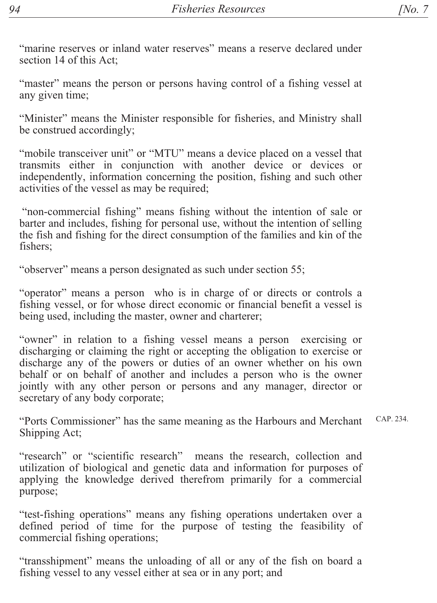"marine reserves or inland water reserves" means a reserve declared under section 14 of this Act:

"master" means the person or persons having control of a fishing vessel at any given time;

"Minister" means the Minister responsible for fisheries, and Ministry shall be construed accordingly;

"mobile transceiver unit" or "MTU" means a device placed on a vessel that transmits either in conjunction with another device or devices or independently, information concerning the position, fishing and such other activities of the vessel as may be required;

"non-commercial fishing" means fishing without the intention of sale or barter and includes, fishing for personal use, without the intention of selling the fish and fishing for the direct consumption of the families and kin of the fishers<sup>.</sup>

"observer" means a person designated as such under section 55;

"operator" means a person who is in charge of or directs or controls a fishing vessel, or for whose direct economic or financial benefit a vessel is being used, including the master, owner and charterer;

"owner" in relation to a fishing vessel means a person exercising or discharging or claiming the right or accepting the obligation to exercise or discharge any of the powers or duties of an owner whether on his own behalf or on behalf of another and includes a person who is the owner jointly with any other person or persons and any manager, director or secretary of any body corporate;

 $CAP$  234 "Ports Commissioner" has the same meaning as the Harbours and Merchant Shipping Act:

"research" or "scientific research" means the research, collection and utilization of biological and genetic data and information for purposes of applying the knowledge derived therefrom primarily for a commercial purpose;

"test-fishing operations" means any fishing operations undertaken over a defined period of time for the purpose of testing the feasibility of commercial fishing operations;

"transshipment" means the unloading of all or any of the fish on board a fishing vessel to any vessel either at sea or in any port; and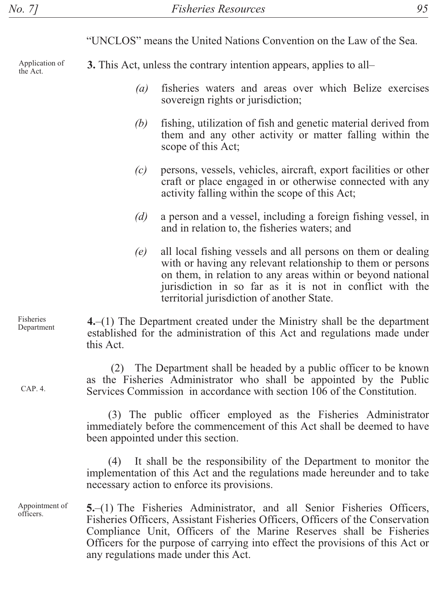"UNCLOS" means the United Nations Convention on the Law of the Sea.

Application of the Act.

Fisheries

 $CAP$  4

Appointment of

officers.

**3.** This Act, unless the contrary intention appears, applies to all-

- fisheries waters and areas over which Belize exercises  $(a)$ sovereign rights or jurisdiction;
- (b) fishing, utilization of fish and genetic material derived from them and any other activity or matter falling within the scope of this Act;
- $(c)$ persons, vessels, vehicles, aircraft, export facilities or other craft or place engaged in or otherwise connected with any activity falling within the scope of this Act;
- $(d)$ a person and a vessel, including a foreign fishing vessel, in and in relation to, the fisheries waters; and
- $(e)$ all local fishing vessels and all persons on them or dealing with or having any relevant relationship to them or persons on them, in relation to any areas within or beyond national jurisdiction in so far as it is not in conflict with the territorial jurisdiction of another State.

 $4-(1)$  The Department created under the Ministry shall be the department Department established for the administration of this Act and regulations made under this Act

> (2) The Department shall be headed by a public officer to be known as the Fisheries Administrator who shall be appointed by the Public Services Commission in accordance with section 106 of the Constitution.

(3) The public officer employed as the Fisheries Administrator immediately before the commencement of this Act shall be deemed to have been appointed under this section.

It shall be the responsibility of the Department to monitor the  $(4)$ implementation of this Act and the regulations made hereunder and to take necessary action to enforce its provisions.

5.–(1) The Fisheries Administrator, and all Senior Fisheries Officers, Fisheries Officers, Assistant Fisheries Officers, Officers of the Conservation Compliance Unit, Officers of the Marine Reserves shall be Fisheries Officers for the purpose of carrying into effect the provisions of this Act or any regulations made under this Act.

95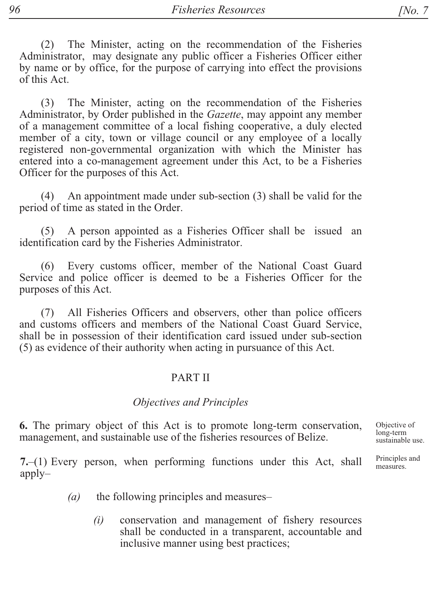The Minister, acting on the recommendation of the Fisheries  $(2)$ Administrator, may designate any public officer a Fisheries Officer either by name or by office, for the purpose of carrying into effect the provisions of this Act.

The Minister, acting on the recommendation of the Fisheries  $(3)$ Administrator, by Order published in the Gazette, may appoint any member of a management committee of a local fishing cooperative, a duly elected member of a city, town or village council or any employee of a locally registered non-governmental organization with which the Minister has entered into a co-management agreement under this Act, to be a Fisheries Officer for the purposes of this Act.

An appointment made under sub-section (3) shall be valid for the  $(4)$ period of time as stated in the Order.

(5) A person appointed as a Fisheries Officer shall be issued an identification card by the Fisheries Administrator.

(6) Every customs officer, member of the National Coast Guard Service and police officer is deemed to be a Fisheries Officer for the purposes of this Act.

All Fisheries Officers and observers, other than police officers  $(7)$ and customs officers and members of the National Coast Guard Service, shall be in possession of their identification card issued under sub-section (5) as evidence of their authority when acting in pursuance of this Act.

### **PART II**

#### Objectives and Principles

6. The primary object of this Act is to promote long-term conservation, management, and sustainable use of the fisheries resources of Belize.

7.-(1) Every person, when performing functions under this Act, shall  $apply-$ 

- the following principles and measures- $(a)$ 
	- conservation and management of fishery resources  $(i)$ shall be conducted in a transparent, accountable and inclusive manner using best practices;

Objective of  $long-term$ sustainable use.

Principles and measures.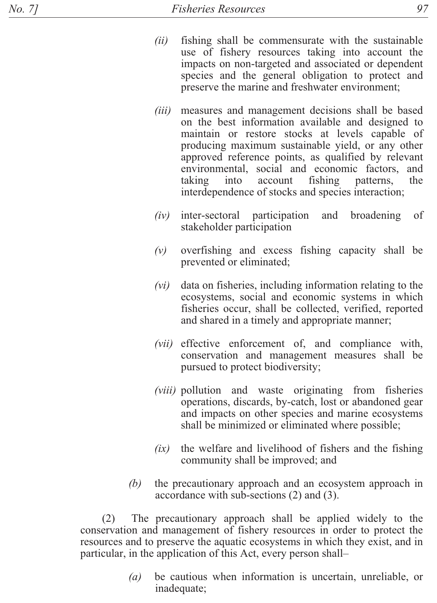- $(ii)$ fishing shall be commensurate with the sustainable use of fishery resources taking into account the impacts on non-targeted and associated or dependent species and the general obligation to protect and preserve the marine and freshwater environment;
- $(iii)$ measures and management decisions shall be based on the best information available and designed to maintain or restore stocks at levels capable of producing maximum sustainable yield, or any other approved reference points, as qualified by relevant environmental, social and economic factors, and taking into account fishing patterns, the interdependence of stocks and species interaction;
- $(iv)$ inter-sectoral participation and *broadening* of stakeholder participation
- $(v)$ overfishing and excess fishing capacity shall be prevented or eliminated;
- $(vi)$ data on fisheries, including information relating to the ecosystems, social and economic systems in which fisheries occur, shall be collected, verified, reported and shared in a timely and appropriate manner;
- (vii) effective enforcement of, and compliance with, conservation and management measures shall be pursued to protect biodiversity;
- (viii) pollution and waste originating from fisheries operations, discards, by-catch, lost or abandoned gear and impacts on other species and marine ecosystems shall be minimized or eliminated where possible;
- the welfare and livelihood of fishers and the fishing  $(ix)$ community shall be improved; and
- (b) the precautionary approach and an ecosystem approach in accordance with sub-sections  $(2)$  and  $(3)$ .

The precautionary approach shall be applied widely to the  $(2)$ conservation and management of fishery resources in order to protect the resources and to preserve the aquatic ecosystems in which they exist, and in particular, in the application of this Act, every person shall-

> $(a)$ be cautious when information is uncertain, unreliable, or inadequate;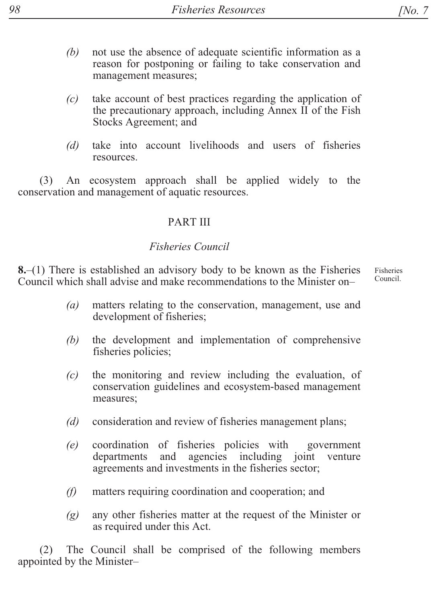- not use the absence of adequate scientific information as a  $(b)$ reason for postponing or failing to take conservation and management measures;
- take account of best practices regarding the application of  $(c)$ the precautionary approach, including Annex II of the Fish Stocks Agreement; and
- take into account livelihoods and users of fisheries  $(d)$ resources.

An ecosystem approach shall be applied widely to the  $(3)$ conservation and management of aquatic resources.

### **PARTIII**

### **Fisheries Council**

 $8-(1)$  There is established an advisory body to be known as the Fisheries Fisheries Council Council which shall advise and make recommendations to the Minister on-

- matters relating to the conservation, management, use and  $(a)$ development of fisheries;
- the development and implementation of comprehensive  $(b)$ fisheries policies;
- the monitoring and review including the evaluation, of  $(c)$ conservation guidelines and ecosystem-based management measures;
- $(d)$ consideration and review of fisheries management plans;
- coordination of fisheries policies with government  $(e)$ departments and agencies including joint venture agreements and investments in the fisheries sector;
- $(f)$ matters requiring coordination and cooperation; and
- any other fisheries matter at the request of the Minister or  $(g)$ as required under this Act.

The Council shall be comprised of the following members  $(2)$ appointed by the Minister-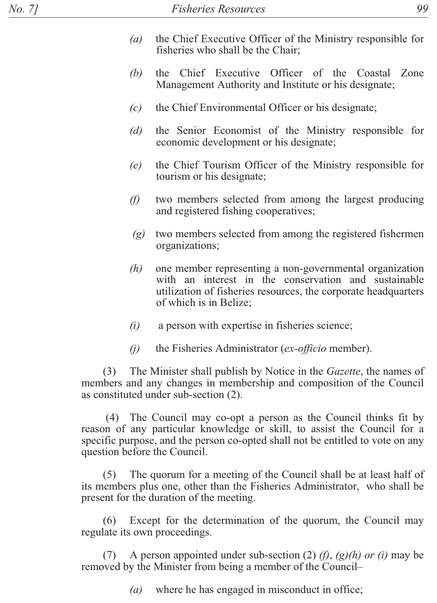- $(a)$ the Chief Executive Officer of the Ministry responsible for fisheries who shall be the Chair;
- the Chief Executive Officer of the Coastal Zone (b) Management Authority and Institute or his designate;
- $(c)$ the Chief Environmental Officer or his designate;
- $(d)$ the Senior Economist of the Ministry responsible for economic development or his designate;
- the Chief Tourism Officer of the Ministry responsible for  $(e)$ tourism or his designate;
- $(f)$ two members selected from among the largest producing and registered fishing cooperatives;
- two members selected from among the registered fishermen  $(g)$ organizations;
- one member representing a non-governmental organization  $(h)$ with an interest in the conservation and sustainable utilization of fisheries resources, the corporate headquarters of which is in Belize;
- $(i)$ a person with expertise in fisheries science;
- $(i)$ the Fisheries Administrator (ex-officio member).

The Minister shall publish by Notice in the *Gazette*, the names of  $(3)$ members and any changes in membership and composition of the Council as constituted under sub-section (2).

(4) The Council may co-opt a person as the Council thinks fit by reason of any particular knowledge or skill, to assist the Council for a specific purpose, and the person co-opted shall not be entitled to vote on any question before the Council.

The quorum for a meeting of the Council shall be at least half of  $(5)$ its members plus one, other than the Fisheries Administrator, who shall be present for the duration of the meeting.

Except for the determination of the quorum, the Council may  $(6)$ regulate its own proceedings.

A person appointed under sub-section (2) (f), (g)(h) or (i) may be  $(7)$ removed by the Minister from being a member of the Council-

> where he has engaged in misconduct in office;  $(a)$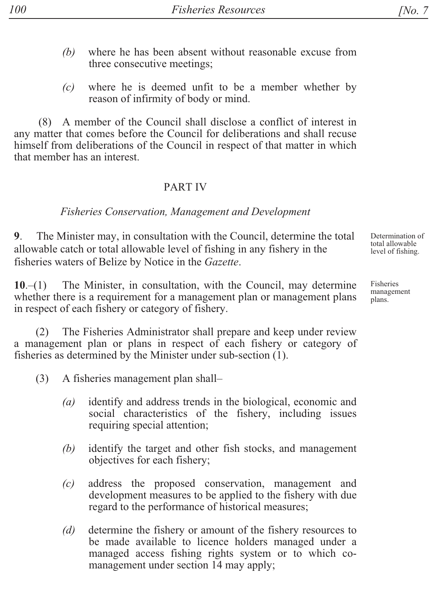- $(b)$  where he has been absent without reasonable excuse from three consecutive meetings;
- $(c)$  where he is deemed unfit to be a member whether by reason of infirmity of body or mind.

 $(8)$  A member of the Council shall disclose a conflict of interest in any matter that comes before the Council for deliberations and shall recuse himself from deliberations of the Council in respect of that matter in which that member has an interest.

#### PART IV

#### *Fisheries Conservation, Management and Development*

9. The Minister may, in consultation with the Council, determine the total allowable catch or total allowable level of fishing in any fishery in the fisheries waters of Belize by Notice in the *Gazette*.

 $10-(1)$  The Minister, in consultation, with the Council, may determine whether there is a requirement for a management plan or management plans in respect of each fishery or category of fishery.

(2) The Fisheries Administrator shall prepare and keep under review a management plan or plans in respect of each fishery or category of fisheries as determined by the Minister under sub-section  $(1)$ .

- $(3)$  A fisheries management plan shall-
	- $(a)$  identify and address trends in the biological, economic and social characteristics of the fishery, including issues requiring special attention;
	- $(b)$  identify the target and other fish stocks, and management objectives for each fishery;
	- $(c)$  address the proposed conservation, management and development measures to be applied to the fishery with due regard to the performance of historical measures;
	- *(d)* determine the fishery or amount of the fishery resources to be made available to licence holders managed under a managed access fishing rights system or to which comanagement under section 14 may apply;

Fisheries management plans.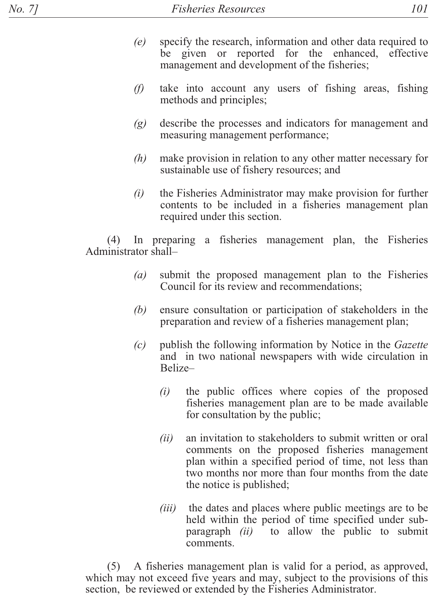- $(e)$ specify the research, information and other data required to be given or reported for the enhanced, effective management and development of the fisheries;
- take into account any users of fishing areas, fishing  $(f)$ methods and principles;
- $(g)$ describe the processes and indicators for management and measuring management performance;
- $(h)$ make provision in relation to any other matter necessary for sustainable use of fishery resources; and
- $(i)$ the Fisheries Administrator may make provision for further contents to be included in a fisheries management plan required under this section.

In preparing a fisheries management plan, the Fisheries  $(4)$ Administrator shall-

- submit the proposed management plan to the Fisheries  $(a)$ Council for its review and recommendations;
- (b) ensure consultation or participation of stakeholders in the preparation and review of a fisheries management plan;
- publish the following information by Notice in the Gazette  $(c)$ and in two national newspapers with wide circulation in Belize
	- the public offices where copies of the proposed  $(i)$ fisheries management plan are to be made available for consultation by the public;
	- an invitation to stakeholders to submit written or oral  $(ii)$ comments on the proposed fisheries management plan within a specified period of time, not less than two months nor more than four months from the date the notice is published;
	- the dates and places where public meetings are to be  $(iii)$ held within the period of time specified under subparagraph (ii) to allow the public to submit comments.

A fisheries management plan is valid for a period, as approved,  $(5)$ which may not exceed five years and may, subject to the provisions of this section, be reviewed or extended by the Fisheries Administrator.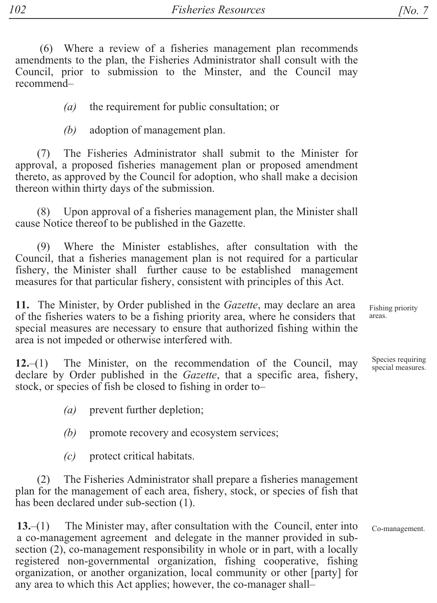(6) Where a review of a fisheries management plan recommends amendments to the plan, the Fisheries Administrator shall consult with the Council, prior to submission to the Minster, and the Council may recommend-

> $(a)$ the requirement for public consultation; or

 $(h)$ adoption of management plan.

The Fisheries Administrator shall submit to the Minister for  $(7)$ approval, a proposed fisheries management plan or proposed amendment thereto, as approved by the Council for adoption, who shall make a decision thereon within thirty days of the submission.

Upon approval of a fisheries management plan, the Minister shall  $(8)$ cause Notice thereof to be published in the Gazette.

Where the Minister establishes, after consultation with the  $(9)$ Council, that a fisheries management plan is not required for a particular fishery, the Minister shall further cause to be established management measures for that particular fishery, consistent with principles of this Act.

11. The Minister, by Order published in the Gazette, may declare an area of the fisheries waters to be a fishing priority area, where he considers that special measures are necessary to ensure that authorized fishing within the area is not impeded or otherwise interfered with.

The Minister, on the recommendation of the Council, may  $12 - (1)$ declare by Order published in the *Gazette*, that a specific area, fishery, stock, or species of fish be closed to fishing in order to-

> $(a)$ prevent further depletion;

 $(b)$ promote recovery and ecosystem services;

 $(c)$ protect critical habitats.

 $(2)$ The Fisheries Administrator shall prepare a fisheries management plan for the management of each area, fishery, stock, or species of fish that has been declared under sub-section (1).

The Minister may, after consultation with the Council, enter into  $13-(1)$ a co-management agreement and delegate in the manner provided in subsection (2), co-management responsibility in whole or in part, with a locally registered non-governmental organization, fishing cooperative, fishing organization, or another organization, local community or other [party] for any area to which this Act applies; however, the co-manager shall-

Fishing priority areas.

Species requiring special measures.

Co-management.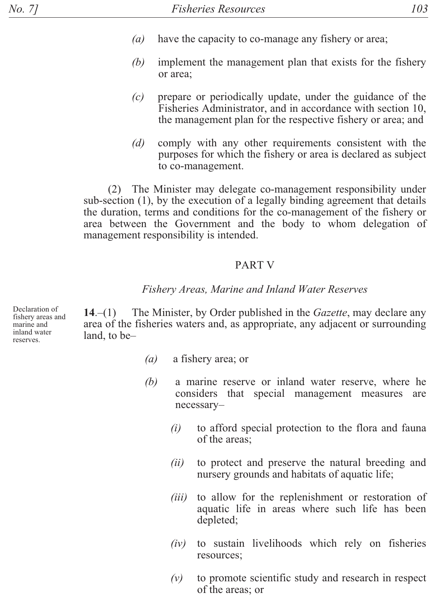- $(a)$ have the capacity to co-manage any fishery or area;
- (b) implement the management plan that exists for the fishery or area:
- $(c)$ prepare or periodically update, under the guidance of the Fisheries Administrator, and in accordance with section 10, the management plan for the respective fishery or area; and
- $(d)$ comply with any other requirements consistent with the purposes for which the fishery or area is declared as subject to co-management.

(2) The Minister may delegate co-management responsibility under sub-section (1), by the execution of a legally binding agreement that details the duration, terms and conditions for the co-management of the fishery or area between the Government and the body to whom delegation of management responsibility is intended.

#### **PART V**

#### Fishery Areas, Marine and Inland Water Reserves

Declaration of fishery areas and marine and inland water reserves.

The Minister, by Order published in the *Gazette*, may declare any  $14-(1)$ area of the fisheries waters and, as appropriate, any adjacent or surrounding land, to be-

- $(a)$ a fishery area; or
- (b) a marine reserve or inland water reserve, where he considers that special management measures are necessary
	- to afford special protection to the flora and fauna  $(i)$ of the areas;
	- to protect and preserve the natural breeding and  $(ii)$ nursery grounds and habitats of aquatic life;
	- $(iii)$ to allow for the replenishment or restoration of aquatic life in areas where such life has been depleted;
	- to sustain livelihoods which rely on fisheries  $(iv)$ resources;
	- $(v)$ to promote scientific study and research in respect of the areas; or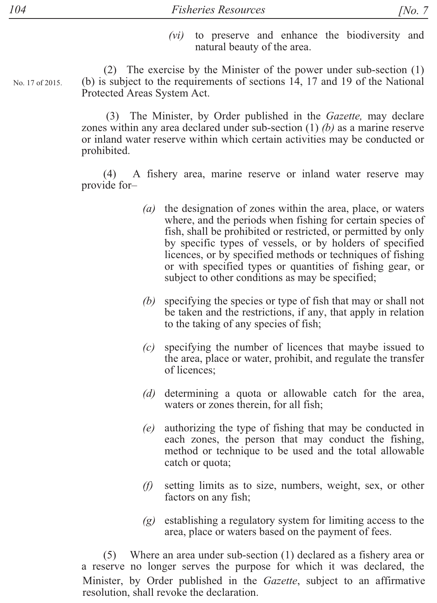$(vi)$ to preserve and enhance the biodiversity and natural beauty of the area.

(2) The exercise by the Minister of the power under sub-section (1) (b) is subject to the requirements of sections 14, 17 and 19 of the National Protected Areas System Act.

(3) The Minister, by Order published in the *Gazette*, may declare zones within any area declared under sub-section (1) (b) as a marine reserve or inland water reserve within which certain activities may be conducted or prohibited.

A fishery area, marine reserve or inland water reserve may  $(4)$ provide for-

- (a) the designation of zones within the area, place, or waters where, and the periods when fishing for certain species of fish, shall be prohibited or restricted, or permitted by only by specific types of vessels, or by holders of specified licences, or by specified methods or techniques of fishing or with specified types or quantities of fishing gear, or subject to other conditions as may be specified;
- $(b)$ specifying the species or type of fish that may or shall not be taken and the restrictions, if any, that apply in relation to the taking of any species of fish;
- $(c)$ specifying the number of licences that maybe issued to the area, place or water, prohibit, and regulate the transfer of licences;
- (d) determining a quota or allowable catch for the area, waters or zones therein, for all fish;
- authorizing the type of fishing that may be conducted in  $(e)$ each zones, the person that may conduct the fishing, method or technique to be used and the total allowable catch or quota;
- $(f)$ setting limits as to size, numbers, weight, sex, or other factors on any fish;
- $(g)$  establishing a regulatory system for limiting access to the area, place or waters based on the payment of fees.

 $(5)$  Where an area under sub-section  $(1)$  declared as a fishery area or a reserve no longer serves the purpose for which it was declared, the Minister, by Order published in the *Gazette*, subject to an affirmative resolution, shall revoke the declaration.

No. 17 of 2015.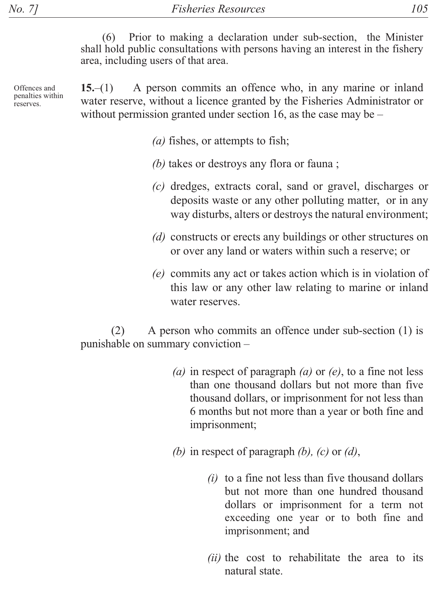Prior to making a declaration under sub-section, the Minister  $(6)$ shall hold public consultations with persons having an interest in the fishery area, including users of that area.

A person commits an offence who, in any marine or inland  $15-(1)$ Offences and penalties within water reserve, without a licence granted by the Fisheries Administrator or reserves. without permission granted under section 16, as the case may be  $-$ 

(*a*) fishes, or attempts to fish;

- (b) takes or destroys any flora or fauna;
- (c) dredges, extracts coral, sand or gravel, discharges or deposits waste or any other polluting matter, or in any way disturbs, alters or destroys the natural environment;
- (d) constructs or erects any buildings or other structures on or over any land or waters within such a reserve; or
- (e) commits any act or takes action which is in violation of this law or any other law relating to marine or inland water reserves.

 $(2)$ A person who commits an offence under sub-section (1) is punishable on summary conviction -

- (a) in respect of paragraph (a) or (e), to a fine not less than one thousand dollars but not more than five thousand dollars, or imprisonment for not less than 6 months but not more than a year or both fine and imprisonment;
- (b) in respect of paragraph  $(b)$ ,  $(c)$  or  $(d)$ ,
	- $(i)$  to a fine not less than five thousand dollars but not more than one hundred thousand dollars or imprisonment for a term not exceeding one year or to both fine and imprisonment; and
	- *(ii)* the cost to rehabilitate the area to its natural state.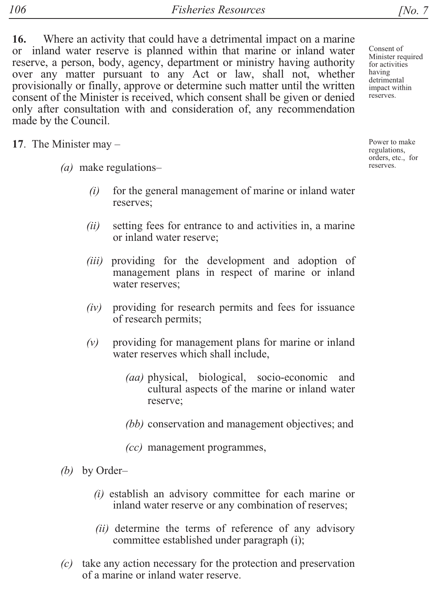16. Where an activity that could have a detrimental impact on a marine or inland water reserve is planned within that marine or inland water reserve, a person, body, agency, department or ministry having authority over any matter pursuant to any Act or law, shall not, whether provisionally or finally, approve or determine such matter until the written consent of the Minister is received, which consent shall be given or denied only after consultation with and consideration of, any recommendation made by the Council.

17. The Minister may  $-$ 

- $(a)$  make regulations–
	- $(i)$  for the general management of marine or inland water reserves:
	- $(ii)$  setting fees for entrance to and activities in, a marine or inland water reserve;
	- *(iii)* providing for the development and adoption of management plans in respect of marine or inland water reserves:
	- $(iv)$  providing for research permits and fees for issuance of research permits;
	- $(v)$  providing for management plans for marine or inland water reserves which shall include,
		- *(aa)* physical, biological, socio-economic and cultural aspects of the marine or inland water reserve;
		- *(bb)* conservation and management objectives; and

*(cc)* management programmes,

- *(b)* by Order-
	- $(i)$  establish an advisory committee for each marine or inland water reserve or any combination of reserves;
	- $(ii)$  determine the terms of reference of any advisory committee established under paragraph (i);
- $(c)$  take any action necessary for the protection and preservation of a marine or inland water reserve.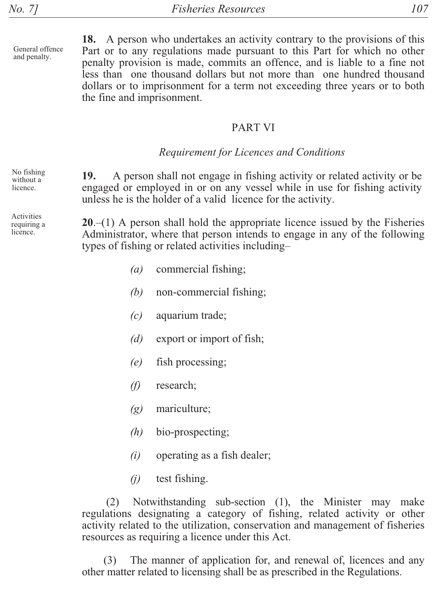General offence and penalty.

18. A person who undertakes an activity contrary to the provisions of this Part or to any regulations made pursuant to this Part for which no other penalty provision is made, commits an offence, and is liable to a fine not less than one thousand dollars but not more than one hundred thousand dollars or to imprisonment for a term not exceeding three years or to both the fine and imprisonment.

#### PART VI

### *Requirement for Licences and Conditions*

No fishing without a licence

Activities requiring a licence.

**19.** A person shall not engage in fishing activity or related activity or be engaged or employed in or on any vessel while in use for fishing activity unless he is the holder of a valid licence for the activity.

 $20-(1)$  A person shall hold the appropriate licence issued by the Fisheries Administrator, where that person intends to engage in any of the following types of fishing or related activities including-

- $(a)$  commercial fishing;
- $(b)$  non-commercial fishing;
- *(c)* aquarium trade;
- *(d)* export or import of fish;
- $(e)$  fish processing;
- *(f)* research;
- *(g)* mariculture;
- $(h)$  bio-prospecting;
- $(i)$  operating as a fish dealer;
- $(i)$  test fishing.

 $(2)$  Notwithstanding sub-section  $(1)$ , the Minister may make regulations designating a category of fishing, related activity or other activity related to the utilization, conservation and management of fisheries resources as requiring a licence under this Act.

 $(3)$  The manner of application for, and renewal of, licences and any other matter related to licensing shall be as prescribed in the Regulations.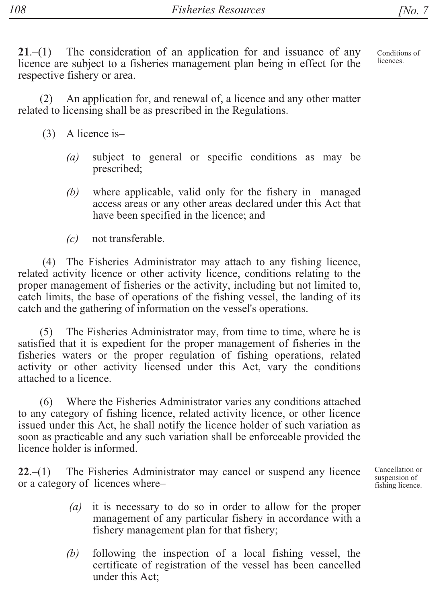Conditions of licences

 $21-(1)$  The consideration of an application for and issuance of any licence are subject to a fisheries management plan being in effect for the respective fishery or area.

 $(2)$  An application for, and renewal of, a licence and any other matter related to licensing shall be as prescribed in the Regulations.

- $(3)$  A licence is-
	- $(a)$  subject to general or specific conditions as may be prescribed;
	- *(b)* where applicable, valid only for the fishery in managed access areas or any other areas declared under this Act that have been specified in the licence; and
	- *(c)* not transferable.

(4) The Fisheries Administrator may attach to any fishing licence, related activity licence or other activity licence, conditions relating to the proper management of fisheries or the activity, including but not limited to, catch limits, the base of operations of the fishing vessel, the landing of its catch and the gathering of information on the vessel's operations.

(5) The Fisheries Administrator may, from time to time, where he is satisfied that it is expedient for the proper management of fisheries in the fisheries waters or the proper regulation of fishing operations, related activity or other activity licensed under this Act, vary the conditions attached to a licence.

(6) Where the Fisheries Administrator varies any conditions attached to any category of fishing licence, related activity licence, or other licence issued under this Act, he shall notify the licence holder of such variation as soon as practicable and any such variation shall be enforceable provided the licence holder is informed.

 $22-(1)$  The Fisheries Administrator may cancel or suspend any licence or a category of licences where-

- $(a)$  it is necessary to do so in order to allow for the proper management of any particular fishery in accordance with a fishery management plan for that fishery;
- $(b)$  following the inspection of a local fishing vessel, the certificate of registration of the vessel has been cancelled under this Act:

Cancellation or suspension of fishing licence.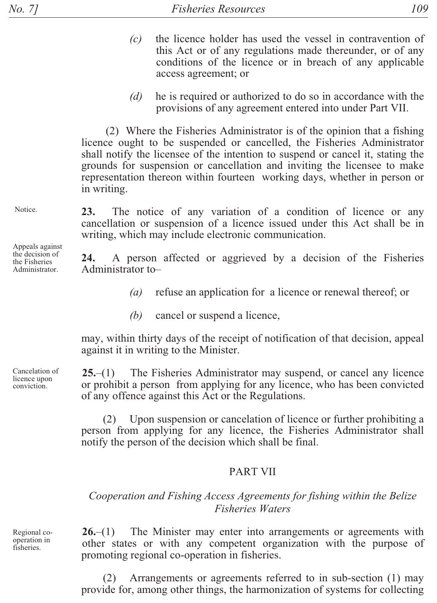- the licence holder has used the vessel in contravention of  $(c)$ this Act or of any regulations made thereunder, or of any conditions of the licence or in breach of any applicable access agreement; or
- he is required or authorized to do so in accordance with the  $(d)$ provisions of any agreement entered into under Part VII.

(2) Where the Fisheries Administrator is of the opinion that a fishing licence ought to be suspended or cancelled, the Fisheries Administrator shall notify the licensee of the intention to suspend or cancel it, stating the grounds for suspension or cancellation and inviting the licensee to make representation thereon within fourteen working days, whether in person or in writing.

The notice of any variation of a condition of licence or any **23.** cancellation or suspension of a licence issued under this Act shall be in writing, which may include electronic communication.

24. A person affected or aggrieved by a decision of the Fisheries Administrator to-

- $(a)$ refuse an application for a licence or renewal thereof; or
- (b) cancel or suspend a licence,

may, within thirty days of the receipt of notification of that decision, appeal against it in writing to the Minister.

The Fisheries Administrator may suspend, or cancel any licence  $25-(1)$ or prohibit a person from applying for any licence, who has been convicted of any offence against this Act or the Regulations.

Upon suspension or cancelation of licence or further prohibiting a  $(2)$ person from applying for any licence, the Fisheries Administrator shall notify the person of the decision which shall be final.

#### **PART VII**

#### Cooperation and Fishing Access Agreements for fishing within the Belize **Fisheries Waters**

The Minister may enter into arrangements or agreements with  $26-(1)$ other states or with any competent organization with the purpose of promoting regional co-operation in fisheries.

Arrangements or agreements referred to in sub-section (1) may provide for, among other things, the harmonization of systems for collecting

Notice.

Appeals against the decision of the Fisheries Administrator.

Cancelation of licence upon conviction.

Regional cooperation in fisheries.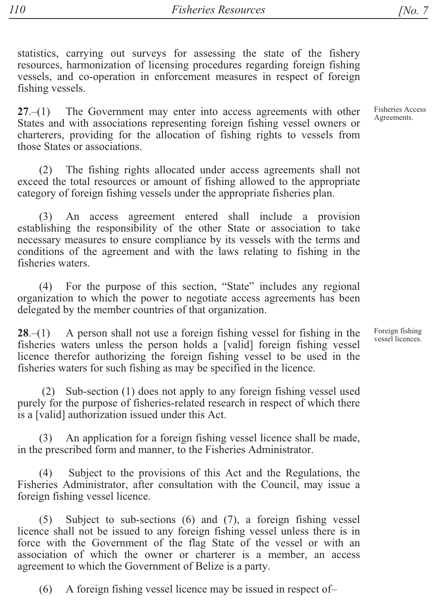statistics, carrying out surveys for assessing the state of the fishery resources, harmonization of licensing procedures regarding foreign fishing vessels, and co-operation in enforcement measures in respect of foreign

The Government may enter into access agreements with other  $27 - (1)$ States and with associations representing foreign fishing vessel owners or charterers, providing for the allocation of fishing rights to vessels from those States or associations.

(2) The fishing rights allocated under access agreements shall not exceed the total resources or amount of fishing allowed to the appropriate category of foreign fishing vessels under the appropriate fisheries plan.

An access agreement entered shall include a provision  $(3)$ establishing the responsibility of the other State or association to take necessary measures to ensure compliance by its vessels with the terms and conditions of the agreement and with the laws relating to fishing in the fisheries waters.

(4) For the purpose of this section, "State" includes any regional organization to which the power to negotiate access agreements has been delegated by the member countries of that organization.

A person shall not use a foreign fishing vessel for fishing in the  $28-(1)$ fisheries waters unless the person holds a [valid] foreign fishing vessel licence therefor authorizing the foreign fishing vessel to be used in the fisheries waters for such fishing as may be specified in the licence.

Sub-section (1) does not apply to any foreign fishing vessel used  $(2)$ purely for the purpose of fisheries-related research in respect of which there is a [valid] authorization issued under this Act.

An application for a foreign fishing vessel licence shall be made,  $(3)$ in the prescribed form and manner, to the Fisheries Administrator.

 $(4)$ Subject to the provisions of this Act and the Regulations, the Fisheries Administrator, after consultation with the Council, may issue a foreign fishing vessel licence.

Subject to sub-sections (6) and (7), a foreign fishing vessel  $(5)$ licence shall not be issued to any foreign fishing vessel unless there is in force with the Government of the flag State of the vessel or with an association of which the owner or charterer is a member, an access agreement to which the Government of Belize is a party.

 $(6)$ A foreign fishing vessel licence may be issued in respect of-

fishing vessels.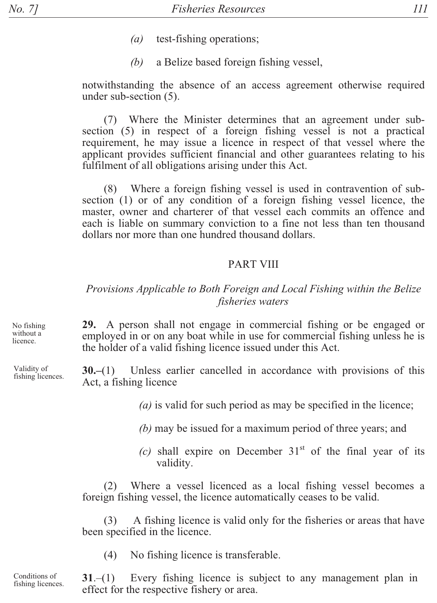- $(a)$ test-fishing operations;
- $(b)$ a Belize based foreign fishing vessel,

notwithstanding the absence of an access agreement otherwise required under sub-section (5).

(7) Where the Minister determines that an agreement under subsection (5) in respect of a foreign fishing vessel is not a practical requirement, he may issue a licence in respect of that vessel where the applicant provides sufficient financial and other guarantees relating to his fulfilment of all obligations arising under this Act.

 $(8)$ Where a foreign fishing vessel is used in contravention of subsection (1) or of any condition of a foreign fishing vessel licence, the master, owner and charterer of that vessel each commits an offence and each is liable on summary conviction to a fine not less than ten thousand dollars nor more than one hundred thousand dollars.

#### **PART VIII**

### Provisions Applicable to Both Foreign and Local Fishing within the Belize fisheries waters

29. A person shall not engage in commercial fishing or be engaged or employed in or on any boat while in use for commercial fishing unless he is the holder of a valid fishing licence issued under this Act.

 $30-(1)$  Unless earlier cancelled in accordance with provisions of this Act, a fishing licence

(a) is valid for such period as may be specified in the licence;

- $(b)$  may be issued for a maximum period of three years; and
- (c) shall expire on December  $31<sup>st</sup>$  of the final year of its validity.

Where a vessel licenced as a local fishing vessel becomes a  $(2)$ foreign fishing vessel, the licence automatically ceases to be valid.

A fishing licence is valid only for the fisheries or areas that have  $(3)$ been specified in the licence.

 $(4)$ No fishing licence is transferable.

Conditions of Every fishing licence is subject to any management plan in  $31 - (1)$ fishing licences. effect for the respective fishery or area.

No fishing without a licence.

Validity of fishing licences.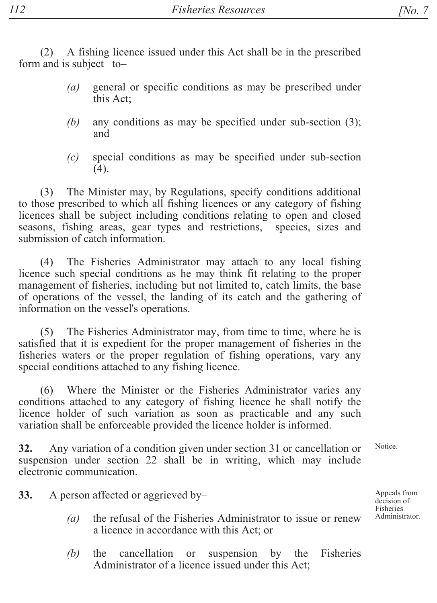A fishing licence issued under this Act shall be in the prescribed  $(2)$ form and is subject to-

- general or specific conditions as may be prescribed under  $(a)$ this Act:
- any conditions as may be specified under sub-section  $(3)$ ;  $(b)$ and
- special conditions as may be specified under sub-section  $(c)$  $(4).$

The Minister may, by Regulations, specify conditions additional  $(3)$ to those prescribed to which all fishing licences or any category of fishing licences shall be subject including conditions relating to open and closed seasons, fishing areas, gear types and restrictions, species, sizes and submission of catch information

The Fisheries Administrator may attach to any local fishing  $(4)$ licence such special conditions as he may think fit relating to the proper management of fisheries, including but not limited to, catch limits, the base of operations of the vessel, the landing of its catch and the gathering of information on the vessel's operations.

(5) The Fisheries Administrator may, from time to time, where he is satisfied that it is expedient for the proper management of fisheries in the fisheries waters or the proper regulation of fishing operations, vary any special conditions attached to any fishing licence.

Where the Minister or the Fisheries Administrator varies any  $(6)$ conditions attached to any category of fishing licence he shall notify the licence holder of such variation as soon as practicable and any such variation shall be enforceable provided the licence holder is informed.

Any variation of a condition given under section 31 or cancellation or 32. suspension under section 22 shall be in writing, which may include electronic communication.

33. A person affected or aggrieved by-

- the refusal of the Fisheries Administrator to issue or renew  $(a)$ a licence in accordance with this Act; or
- suspension by the Fisheries  $(b)$ the cancellation or Administrator of a licence issued under this Act;

Notice.

Appeals from decision of Fisheries Administrator.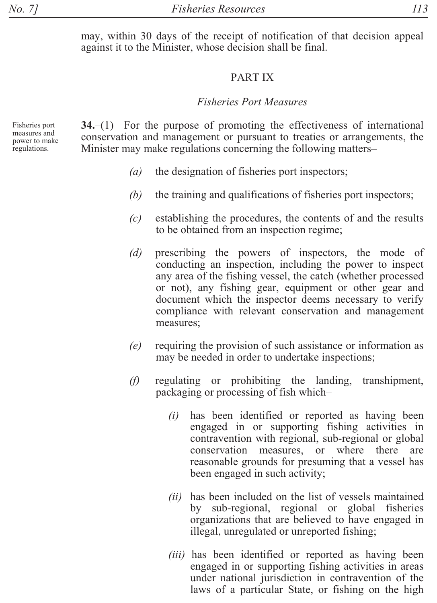may, within 30 days of the receipt of notification of that decision appeal against it to the Minister, whose decision shall be final.

#### PART IX

#### *Fisheries Port Measures*

Fisheries port measures and power to make regulations.

 $34-(1)$  For the purpose of promoting the effectiveness of international conservation and management or pursuant to treaties or arrangements, the Minister may make regulations concerning the following matters-

- $(a)$  the designation of fisheries port inspectors;
- $(b)$  the training and qualifications of fisheries port inspectors;
- $(c)$  establishing the procedures, the contents of and the results to be obtained from an inspection regime;
- *(d)* prescribing the powers of inspectors, the mode of conducting an inspection, including the power to inspect any area of the fishing vessel, the catch (whether processed or not), any fishing gear, equipment or other gear and document which the inspector deems necessary to verify compliance with relevant conservation and management measures:
- $(e)$  requiring the provision of such assistance or information as may be needed in order to undertake inspections;
- $(f)$  regulating or prohibiting the landing, transhipment, packaging or processing of fish which-
	- $(i)$  has been identified or reported as having been engaged in or supporting fishing activities in contravention with regional, sub-regional or global conservation measures, or where there are reasonable grounds for presuming that a vessel has been engaged in such activity;
	- *(ii)* has been included on the list of vessels maintained by sub-regional, regional or global fisheries organizations that are believed to have engaged in illegal, unregulated or unreported fishing;
	- *(iii)* has been identified or reported as having been engaged in or supporting fishing activities in areas under national jurisdiction in contravention of the laws of a particular State, or fishing on the high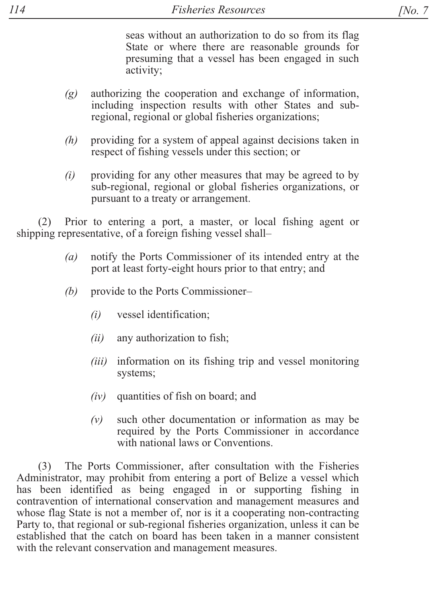seas without an authorization to do so from its flag State or where there are reasonable grounds for presuming that a vessel has been engaged in such activity;

- $(g)$  authorizing the cooperation and exchange of information, including inspection results with other States and subregional, regional or global fisheries organizations;
- $(h)$  providing for a system of appeal against decisions taken in respect of fishing vessels under this section; or
- $(i)$  providing for any other measures that may be agreed to by sub-regional, regional or global fisheries organizations, or pursuant to a treaty or arrangement.

 $(2)$  Prior to entering a port, a master, or local fishing agent or shipping representative, of a foreign fishing vessel shall-

- *(a)* notify the Ports Commissioner of its intended entry at the port at least forty-eight hours prior to that entry; and
- *(b)* provide to the Ports Commissioner–
	- *(i)* vessel identification;
	- $(ii)$  any authorization to fish;
	- *(iii)* information on its fishing trip and vessel monitoring systems;
	- $(iv)$  quantities of fish on board; and
	- $(v)$  such other documentation or information as may be required by the Ports Commissioner in accordance with national laws or Conventions.

(3) The Ports Commissioner, after consultation with the Fisheries Administrator, may prohibit from entering a port of Belize a vessel which has been identified as being engaged in or supporting fishing in contravention of international conservation and management measures and whose flag State is not a member of, nor is it a cooperating non-contracting Party to, that regional or sub-regional fisheries organization, unless it can be established that the catch on board has been taken in a manner consistent with the relevant conservation and management measures.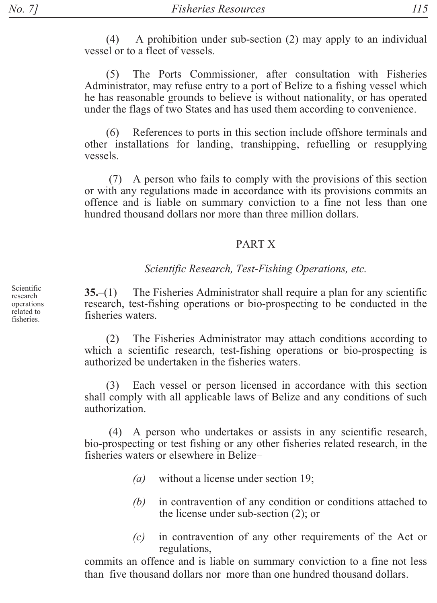$(4)$ A prohibition under sub-section (2) may apply to an individual vessel or to a fleet of vessels.

The Ports Commissioner, after consultation with Fisheries  $(5)$ Administrator, may refuse entry to a port of Belize to a fishing vessel which he has reasonable grounds to believe is without nationality, or has operated under the flags of two States and has used them according to convenience.

References to ports in this section include offshore terminals and  $(6)$ other installations for landing, transhipping, refuelling or resupplying vessels.

(7) A person who fails to comply with the provisions of this section or with any regulations made in accordance with its provisions commits an offence and is liable on summary conviction to a fine not less than one hundred thousand dollars nor more than three million dollars.

#### **PARTX**

#### Scientific Research, Test-Fishing Operations, etc.

 $35-(1)$  The Fisheries Administrator shall require a plan for any scientific research, test-fishing operations or bio-prospecting to be conducted in the fisheries waters

 $(2)$ The Fisheries Administrator may attach conditions according to which a scientific research, test-fishing operations or bio-prospecting is authorized be undertaken in the fisheries waters

(3) Each vessel or person licensed in accordance with this section shall comply with all applicable laws of Belize and any conditions of such authorization

(4) A person who undertakes or assists in any scientific research, bio-prospecting or test fishing or any other fisheries related research, in the fisheries waters or elsewhere in Belize-

- $(a)$ without a license under section 19;
- (b) in contravention of any condition or conditions attached to the license under sub-section  $(2)$ ; or
- in contravention of any other requirements of the Act or  $(c)$ regulations,

commits an offence and is liable on summary conviction to a fine not less than five thousand dollars nor more than one hundred thousand dollars.

Scientific research operations related to fisheries.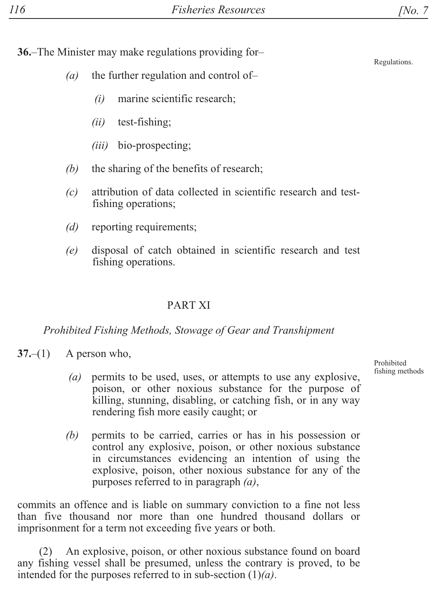$36$ -The Minister may make regulations providing for-

- $(a)$  the further regulation and control of-
	- $(i)$  marine scientific research;
	- $(ii)$  test-fishing;
	- $(iii)$  bio-prospecting;
- $(b)$  the sharing of the benefits of research;
- *(c)* attribution of data collected in scientific research and testfishing operations;
- *(d)* reporting requirements;
- *(e)* disposal of catch obtained in scientific research and test fishing operations.

### PART XI

*Prohibited Fishing Methods, Stowage of Gear and Transhipment* 

 $37-(1)$  A person who,

- $(a)$  permits to be used, uses, or attempts to use any explosive, poison, or other noxious substance for the purpose of  $\tilde{k}$ illing, stunning, disabling, or catching fish, or in any way rendering fish more easily caught; or
- *(b)* permits to be carried, carries or has in his possession or control any explosive, poison, or other noxious substance in circumstances evidencing an intention of using the explosive, poison, other noxious substance for any of the purposes referred to in paragraph  $(a)$ ,

commits an offence and is liable on summary conviction to a fine not less than five thousand nor more than one hundred thousand dollars or imprisonment for a term not exceeding five years or both.

(2) An explosive, poison, or other noxious substance found on board any fishing vessel shall be presumed, unless the contrary is proved, to be intended for the purposes referred to in sub-section  $(1)(a)$ .

Prohibited fishing methods

Regulations.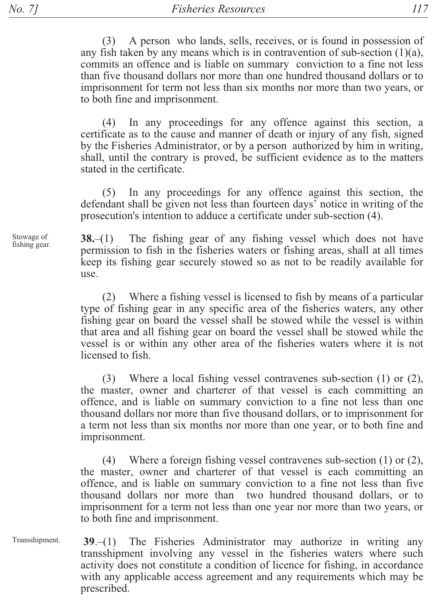No. 71

 $(3)$ A person who lands, sells, receives, or is found in possession of any fish taken by any means which is in contravention of sub-section  $(1)(a)$ , commits an offence and is liable on summary conviction to a fine not less than five thousand dollars nor more than one hundred thousand dollars or to imprisonment for term not less than six months nor more than two years, or to both fine and imprisonment.

In any proceedings for any offence against this section, a  $(4)$ certificate as to the cause and manner of death or injury of any fish, signed by the Fisheries Administrator, or by a person authorized by him in writing, shall, until the contrary is proved, be sufficient evidence as to the matters stated in the certificate.

 $(5)$ In any proceedings for any offence against this section, the defendant shall be given not less than fourteen days' notice in writing of the prosecution's intention to adduce a certificate under sub-section (4).

The fishing gear of any fishing vessel which does not have  $38 - (1)$ permission to fish in the fisheries waters or fishing areas, shall at all times keep its fishing gear securely stowed so as not to be readily available for use.

(2) Where a fishing vessel is licensed to fish by means of a particular type of fishing gear in any specific area of the fisheries waters, any other fishing gear on board the vessel shall be stowed while the vessel is within that area and all fishing gear on board the vessel shall be stowed while the vessel is or within any other area of the fisheries waters where it is not licensed to fish.

(3) Where a local fishing vessel contravenes sub-section  $(1)$  or  $(2)$ , the master, owner and charterer of that vessel is each committing an offence, and is liable on summary conviction to a fine not less than one thousand dollars nor more than five thousand dollars, or to imprisonment for a term not less than six months nor more than one year, or to both fine and imprisonment.

(4) Where a foreign fishing vessel contravenes sub-section  $(1)$  or  $(2)$ , the master, owner and charterer of that vessel is each committing an offence, and is liable on summary conviction to a fine not less than five thousand dollars nor more than two hundred thousand dollars, or to imprisonment for a term not less than one year nor more than two years, or to both fine and imprisonment.

39.-(1) The Fisheries Administrator may authorize in writing any Transshipment. transshipment involving any vessel in the fisheries waters where such activity does not constitute a condition of licence for fishing, in accordance with any applicable access agreement and any requirements which may be prescribed.

Stowage of fishing gear.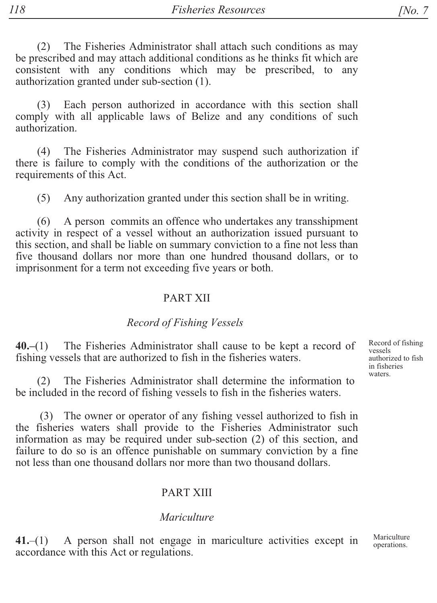The Fisheries Administrator shall attach such conditions as may  $(2)$ be prescribed and may attach additional conditions as he thinks fit which are consistent with any conditions which may be prescribed, to any authorization granted under sub-section (1).

Each person authorized in accordance with this section shall  $(3)$ comply with all applicable laws of Belize and any conditions of such authorization.

The Fisheries Administrator may suspend such authorization if  $(4)$ there is failure to comply with the conditions of the authorization or the requirements of this Act.

Any authorization granted under this section shall be in writing.  $(5)$ 

 $(6)$ A person commits an offence who undertakes any transshipment activity in respect of a vessel without an authorization issued pursuant to this section, and shall be liable on summary conviction to a fine not less than five thousand dollars nor more than one hundred thousand dollars, or to imprisonment for a term not exceeding five years or both.

#### **PART XII**

### Record of Fishing Vessels

 $40 - (1)$ The Fisheries Administrator shall cause to be kept a record of fishing vessels that are authorized to fish in the fisheries waters.

The Fisheries Administrator shall determine the information to  $(2)$ be included in the record of fishing vessels to fish in the fisheries waters.

(3) The owner or operator of any fishing vessel authorized to fish in the fisheries waters shall provide to the Fisheries Administrator such information as may be required under sub-section (2) of this section, and failure to do so is an offence punishable on summary conviction by a fine not less than one thousand dollars nor more than two thousand dollars.

#### **PART XIII**

#### Mariculture

Mariculture A person shall not engage in mariculture activities except in  $41 - (1)$ operations. accordance with this Act or regulations.

Record of fishing vessels authorized to fish in fisheries waters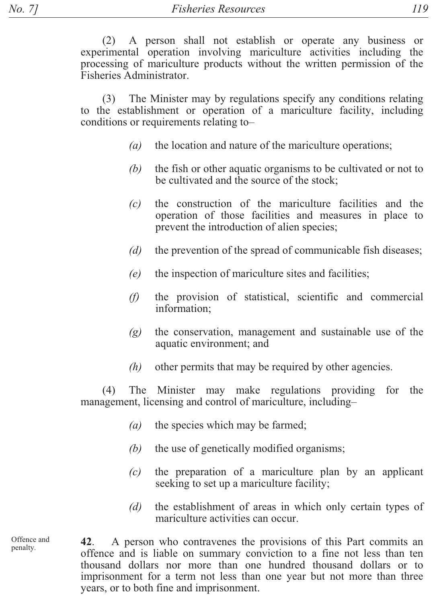$(2)$  A person shall not establish or operate any business or experimental operation involving mariculture activities including the processing of mariculture products without the written permission of the Fisheries Administrator.

 $(3)$  The Minister may by regulations specify any conditions relating to the establishment or operation of a mariculture facility, including conditions or requirements relating to-

- $(a)$  the location and nature of the mariculture operations;
- $(b)$  the fish or other aquatic organisms to be cultivated or not to be cultivated and the source of the stock;
- $(c)$  the construction of the mariculture facilities and the operation of those facilities and measures in place to prevent the introduction of alien species;
- *(d)* the prevention of the spread of communicable fish diseases;
- $(e)$  the inspection of mariculture sites and facilities;
- $(f)$  the provision of statistical, scientific and commercial information;
- $(g)$  the conservation, management and sustainable use of the aquatic environment; and
- $(h)$  other permits that may be required by other agencies.

 $(4)$  The Minister may make regulations providing for the management, licensing and control of mariculture, including-

- $(a)$  the species which may be farmed;
- *(b)* the use of genetically modified organisms;
- $(c)$  the preparation of a mariculture plan by an applicant seeking to set up a mariculture facility;
- *(d)* the establishment of areas in which only certain types of mariculture activities can occur.

Offence and penalty.

**42.** A person who contravenes the provisions of this Part commits an offence and is liable on summary conviction to a fine not less than ten thousand dollars nor more than one hundred thousand dollars or to imprisonment for a term not less than one year but not more than three years, or to both fine and imprisonment.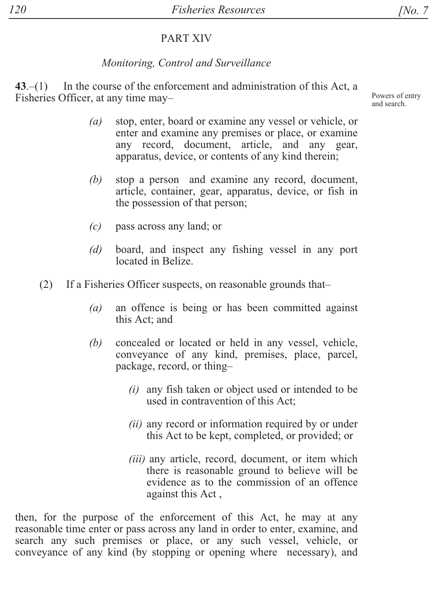# PART XIV

# *Monitoring, Control and Surveillance*

 $+3$ .  $-$ (1) In the course of the enforcement and administration of this Act, a Fisheries Officer, at any time may-

- *(a)* stop, enter, board or examine any vessel or vehicle, or enter and examine any premises or place, or examine any record, document, article, and any gear, apparatus, device, or contents of any kind therein;
- $(b)$  stop a person and examine any record, document, article, container, gear, apparatus, device, or fish in the possession of that person;
- $(c)$  pass across any land; or
- *(d)* board, and inspect any fishing vessel in any port located in Belize
- $(2)$  If a Fisheries Officer suspects, on reasonable grounds that-
	- $(a)$  an offence is being or has been committed against this Act; and
	- *(b)* concealed or located or held in any vessel, vehicle, conveyance of any kind, premises, place, parcel, package, record, or thing-
		- $(i)$  any fish taken or object used or intended to be used in contravention of this Act;
		- $(ii)$  any record or information required by or under this Act to be kept, completed, or provided; or
		- *(iii)* any article, record, document, or item which there is reasonable ground to believe will be evidence as to the commission of an offence against this Act,

then, for the purpose of the enforcement of this Act, he may at any reasonable time enter or pass across any land in order to enter, examine, and search any such premises or place, or any such vessel, vehicle, or conveyance of any kind (by stopping or opening where necessary), and Powers of entry and search.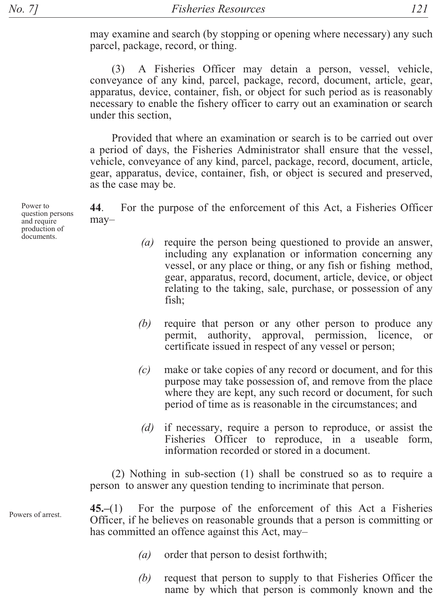may examine and search (by stopping or opening where necessary) any such parcel, package, record, or thing.

A Fisheries Officer may detain a person, vessel, vehicle,  $(3)$ conveyance of any kind, parcel, package, record, document, article, gear, apparatus, device, container, fish, or object for such period as is reasonably necessary to enable the fishery officer to carry out an examination or search under this section.

Provided that where an examination or search is to be carried out over a period of days, the Fisheries Administrator shall ensure that the vessel, vehicle, conveyance of any kind, parcel, package, record, document, article, gear, apparatus, device, container, fish, or object is secured and preserved, as the case may be.

For the purpose of the enforcement of this Act, a Fisheries Officer 44.  $may-$ 

- (a) require the person being questioned to provide an answer, including any explanation or information concerning any vessel, or any place or thing, or any fish or fishing method, gear, apparatus, record, document, article, device, or object relating to the taking, sale, purchase, or possession of any fish;
- (b) require that person or any other person to produce any permit, authority, approval, permission, licence, **or** certificate issued in respect of any vessel or person;
- $(c)$ make or take copies of any record or document, and for this purpose may take possession of, and remove from the place where they are kept, any such record or document, for such period of time as is reasonable in the circumstances; and
- if necessary, require a person to reproduce, or assist the  $(d)$ Fisheries Officer to reproduce, in a useable form, information recorded or stored in a document.

(2) Nothing in sub-section (1) shall be construed so as to require a person to answer any question tending to incriminate that person.

 $45 - (1)$ For the purpose of the enforcement of this Act a Fisheries Officer, if he believes on reasonable grounds that a person is committing or has committed an offence against this Act, may-

- order that person to desist forthwith;  $\left( a\right)$
- (b) request that person to supply to that Fisheries Officer the name by which that person is commonly known and the

Power to question persons and require production of documents

Powers of arrest.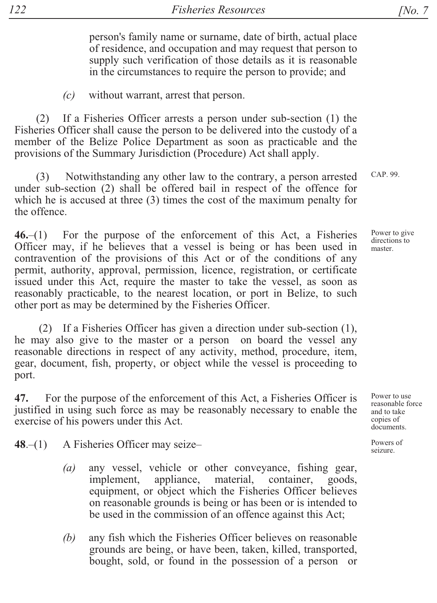person's family name or surname, date of birth, actual place of residence, and occupation and may request that person to supply such verification of those details as it is reasonable in the circumstances to require the person to provide; and

 $(c)$ without warrant, arrest that person.

(2) If a Fisheries Officer arrests a person under sub-section (1) the Fisheries Officer shall cause the person to be delivered into the custody of a member of the Belize Police Department as soon as practicable and the provisions of the Summary Jurisdiction (Procedure) Act shall apply.

Notwithstanding any other law to the contrary, a person arrested under sub-section (2) shall be offered bail in respect of the offence for which he is accused at three (3) times the cost of the maximum penalty for the offence

 $46-(1)$  For the purpose of the enforcement of this Act, a Fisheries Officer may, if he believes that a vessel is being or has been used in contravention of the provisions of this Act or of the conditions of any permit, authority, approval, permission, licence, registration, or certificate issued under this Act, require the master to take the vessel, as soon as reasonably practicable, to the nearest location, or port in Belize, to such other port as may be determined by the Fisheries Officer.

(2) If a Fisheries Officer has given a direction under sub-section (1), he may also give to the master or a person on board the vessel any reasonable directions in respect of any activity, method, procedure, item, gear, document, fish, property, or object while the vessel is proceeding to port.

For the purpose of the enforcement of this Act, a Fisheries Officer is 47. justified in using such force as may be reasonably necessary to enable the exercise of his powers under this Act.

 $48 - (1)$ A Fisheries Officer may seize-

- any vessel, vehicle or other conveyance, fishing gear,  $(a)$ implement, appliance, material, container, goods, equipment, or object which the Fisheries Officer believes on reasonable grounds is being or has been or is intended to be used in the commission of an offence against this Act;
- any fish which the Fisheries Officer believes on reasonable (b) grounds are being, or have been, taken, killed, transported, bought, sold, or found in the possession of a person or

*[No. 7* 

CAP. 99.

Power to give directions to master.

Power to use reasonable force and to take copies of documents.

Powers of seizure.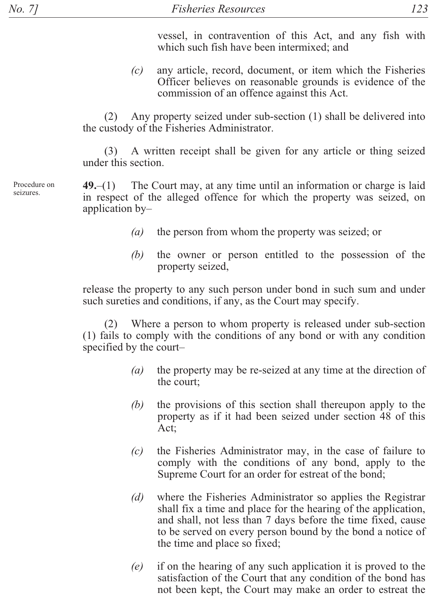vessel, in contravention of this Act, and any fish with which such fish have been intermixed; and

 $(c)$  any article, record, document, or item which the Fisheries Officer believes on reasonable grounds is evidence of the commission of an offence against this Act.

 $(2)$  Any property seized under sub-section (1) shall be delivered into the custody of the Fisheries Administrator.

 $(3)$  A written receipt shall be given for any article or thing seized under this section.

 $+$ **49.** $-$ (1) The Court may, at any time until an information or charge is laid in respect of the alleged offence for which the property was seized, on application  $by-$ 

- (a) the person from whom the property was seized; or
- $(b)$  the owner or person entitled to the possession of the property seized,

release the property to any such person under bond in such sum and under such sureties and conditions, if any, as the Court may specify.

 $(2)$  Where a person to whom property is released under sub-section  $(1)$  fails to comply with the conditions of any bond or with any condition specified by the court-

- (a) the property may be re-seized at any time at the direction of the court:
- $(b)$  the provisions of this section shall thereupon apply to the property as if it had been seized under section 48 of this Act:
- $(c)$  the Fisheries Administrator may, in the case of failure to comply with the conditions of any bond, apply to the Supreme Court for an order for estreat of the bond;
- *(d)* where the Fisheries Administrator so applies the Registrar shall fix a time and place for the hearing of the application, and shall, not less than 7 days before the time fixed, cause to be served on every person bound by the bond a notice of the time and place so fixed;
- $(e)$  if on the hearing of any such application it is proved to the satisfaction of the Court that any condition of the bond has not been kept, the Court may make an order to estreat the

Procedure on seizures.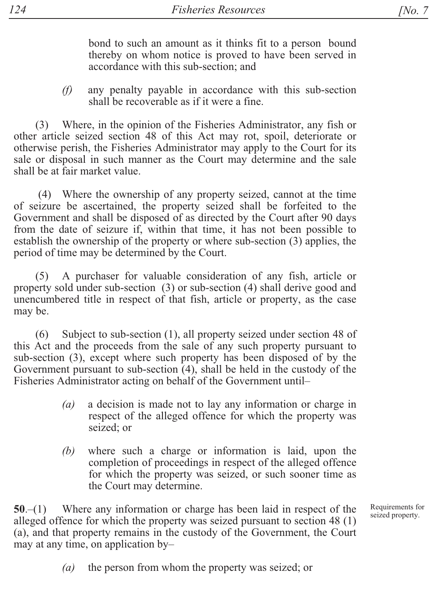bond to such an amount as it thinks fit to a person bound thereby on whom notice is proved to have been served in accordance with this sub-section; and

 $(f)$ any penalty payable in accordance with this sub-section shall be recoverable as if it were a fine.

(3) Where, in the opinion of the Fisheries Administrator, any fish or other article seized section 48 of this Act may rot, spoil, deteriorate or otherwise perish, the Fisheries Administrator may apply to the Court for its sale or disposal in such manner as the Court may determine and the sale shall be at fair market value.

(4) Where the ownership of any property seized, cannot at the time of seizure be ascertained, the property seized shall be forfeited to the Government and shall be disposed of as directed by the Court after 90 days from the date of seizure if, within that time, it has not been possible to establish the ownership of the property or where sub-section (3) applies, the period of time may be determined by the Court.

 $(5)$ A purchaser for valuable consideration of any fish, article or property sold under sub-section (3) or sub-section (4) shall derive good and unencumbered title in respect of that fish, article or property, as the case may be.

 $(6)$ Subject to sub-section (1), all property seized under section 48 of this Act and the proceeds from the sale of any such property pursuant to sub-section (3), except where such property has been disposed of by the Government pursuant to sub-section  $(4)$ , shall be held in the custody of the Fisheries Administrator acting on behalf of the Government until-

- a decision is made not to lay any information or charge in  $(a)$ respect of the alleged offence for which the property was seized: or
- where such a charge or information is laid, upon the (b) completion of proceedings in respect of the alleged offence for which the property was seized, or such sooner time as the Court may determine.

 $50-(1)$  Where any information or charge has been laid in respect of the alleged offence for which the property was seized pursuant to section 48 (1) (a), and that property remains in the custody of the Government, the Court may at any time, on application byRequirements for seized property.

 $(a)$ the person from whom the property was seized; or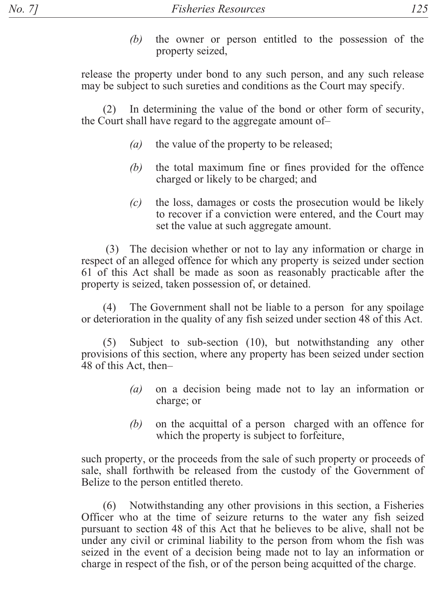$(b)$  the owner or person entitled to the possession of the property seized,

release the property under bond to any such person, and any such release may be subject to such sureties and conditions as the Court may specify.

In determining the value of the bond or other form of security, the Court shall have regard to the aggregate amount of-

- $(a)$  the value of the property to be released;
- *(b)* the total maximum fine or fines provided for the offence charged or likely to be charged; and
- $(c)$  the loss, damages or costs the prosecution would be likely to recover if a conviction were entered, and the Court may set the value at such aggregate amount.

 $(3)$  The decision whether or not to lay any information or charge in respect of an alleged offence for which any property is seized under section 61 of this Act shall be made as soon as reasonably practicable after the property is seized, taken possession of, or detained.

 $(4)$  The Government shall not be liable to a person for any spoilage or deterioration in the quality of any fish seized under section 48 of this Act.

 $(5)$  Subject to sub-section  $(10)$ , but notwithstanding any other provisions of this section, where any property has been seized under section 48 of this Act, then-

- $(a)$  on a decision being made not to lay an information or charge; or
- *(b)* on the acquittal of a person charged with an offence for which the property is subject to forfeiture,

such property, or the proceeds from the sale of such property or proceeds of sale, shall forthwith be released from the custody of the Government of Belize to the person entitled thereto.

 $16$  Notwithstanding any other provisions in this section, a Fisheries Officer who at the time of seizure returns to the water any fish seized pursuant to section 48 of this Act that he believes to be alive, shall not be under any civil or criminal liability to the person from whom the fish was seized in the event of a decision being made not to lay an information or charge in respect of the fish, or of the person being acquitted of the charge.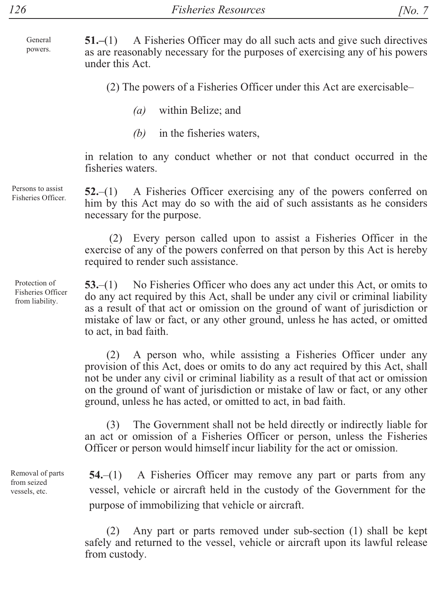A Fisheries Officer may do all such acts and give such directives  $51 - (1)$ General powers. as are reasonably necessary for the purposes of exercising any of his powers under this Act.

(2) The powers of a Fisheries Officer under this Act are exercisable-

- $(a)$ within Belize; and
- (b) in the fisheries waters,

in relation to any conduct whether or not that conduct occurred in the fisheries waters.

 $52-(1)$  A Fisheries Officer exercising any of the powers conferred on him by this Act may do so with the aid of such assistants as he considers necessary for the purpose.

(2) Every person called upon to assist a Fisheries Officer in the exercise of any of the powers conferred on that person by this Act is hereby required to render such assistance.

No Fisheries Officer who does any act under this Act, or omits to  $53-(1)$ do any act required by this Act, shall be under any civil or criminal liability as a result of that act or omission on the ground of want of jurisdiction or mistake of law or fact, or any other ground, unless he has acted, or omitted to act, in bad faith.

A person who, while assisting a Fisheries Officer under any  $(2)$ provision of this Act, does or omits to do any act required by this Act, shall not be under any civil or criminal liability as a result of that act or omission on the ground of want of jurisdiction or mistake of law or fact, or any other ground, unless he has acted, or omitted to act, in bad faith.

 $(3)$ The Government shall not be held directly or indirectly liable for an act or omission of a Fisheries Officer or person, unless the Fisheries Officer or person would himself incur liability for the act or omission.

A Fisheries Officer may remove any part or parts from any  $54-(1)$ vessel, vehicle or aircraft held in the custody of the Government for the purpose of immobilizing that vehicle or aircraft.

Any part or parts removed under sub-section (1) shall be kept  $(2)$ safely and returned to the vessel, vehicle or aircraft upon its lawful release from custody.

Persons to assist Fisheries Officer

Protection of Fisheries Officer from liability.

Removal of parts from seized vessels, etc.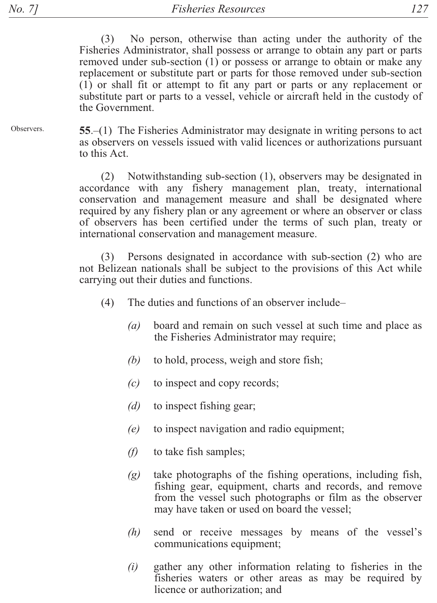$127$ 

 $(3)$ No person, otherwise than acting under the authority of the Fisheries Administrator, shall possess or arrange to obtain any part or parts removed under sub-section  $(1)$  or possess or arrange to obtain or make any replacement or substitute part or parts for those removed under sub-section  $(1)$  or shall fit or attempt to fit any part or parts or any replacement or substitute part or parts to a vessel, vehicle or aircraft held in the custody of the Government.

Observers. 55. $-(1)$  The Fisheries Administrator may designate in writing persons to act as observers on vessels issued with valid licences or authorizations pursuant to this Act.

> (2) Notwithstanding sub-section (1), observers may be designated in accordance with any fishery management plan, treaty, international conservation and management measure and shall be designated where required by any fishery plan or any agreement or where an observer or class of observers has been certified under the terms of such plan, treaty or international conservation and management measure.

> Persons designated in accordance with sub-section (2) who are  $(3)$ not Belizean nationals shall be subject to the provisions of this Act while carrying out their duties and functions.

- $(4)$ The duties and functions of an observer include–
	- $(a)$ board and remain on such vessel at such time and place as the Fisheries Administrator may require;
	- $(b)$ to hold, process, weigh and store fish;
	- $(c)$ to inspect and copy records;
	- $(d)$ to inspect fishing gear.
	- $(e)$ to inspect navigation and radio equipment;
	- $(f)$ to take fish samples;
	- $(g)$ take photographs of the fishing operations, including fish, fishing gear, equipment, charts and records, and remove from the vessel such photographs or film as the observer may have taken or used on board the vessel;
	- $(h)$ send or receive messages by means of the vessel's communications equipment;
	- gather any other information relating to fisheries in the  $(i)$ fisheries waters or other areas as may be required by licence or authorization: and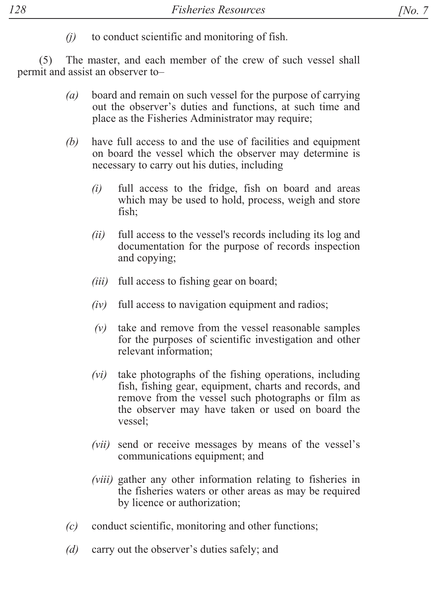$(i)$ to conduct scientific and monitoring of fish.

The master, and each member of the crew of such vessel shall  $(5)$ permit and assist an observer to-

- board and remain on such vessel for the purpose of carrying  $(a)$ out the observer's duties and functions, at such time and place as the Fisheries Administrator may require;
- $(b)$ have full access to and the use of facilities and equipment on board the vessel which the observer may determine is necessary to carry out his duties, including
	- $(i)$ full access to the fridge, fish on board and areas which may be used to hold, process, weigh and store fish:
	- full access to the vessel's records including its log and  $(ii)$ documentation for the purpose of records inspection and copying;
	- *(iii)* full access to fishing gear on board;
	- $(iv)$ full access to navigation equipment and radios;
	- $(v)$ take and remove from the vessel reasonable samples for the purposes of scientific investigation and other relevant information:
	- $(vi)$ take photographs of the fishing operations, including fish, fishing gear, equipment, charts and records, and remove from the vessel such photographs or film as the observer may have taken or used on board the vessel:
	- *(vii)* send or receive messages by means of the vessel's communications equipment; and
	- *(viii)* gather any other information relating to fisheries in the fisheries waters or other areas as may be required by licence or authorization;
- $(c)$ conduct scientific, monitoring and other functions;
- carry out the observer's duties safely; and  $(d)$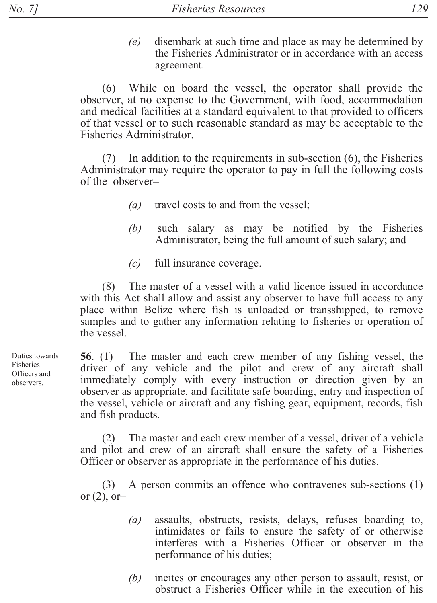$(e)$ disembark at such time and place as may be determined by the Fisheries Administrator or in accordance with an access agreement.

(6) While on board the vessel, the operator shall provide the observer, at no expense to the Government, with food, accommodation and medical facilities at a standard equivalent to that provided to officers of that vessel or to such reasonable standard as may be acceptable to the Fisheries Administrator.

In addition to the requirements in sub-section  $(6)$ , the Fisheries  $(7)$ Administrator may require the operator to pay in full the following costs of the observer-

- $(a)$ travel costs to and from the vessel;
- such salary as may be notified by the Fisheries (b) Administrator, being the full amount of such salary; and
- $(c)$ full insurance coverage.

The master of a vessel with a valid licence issued in accordance  $(8)$ with this Act shall allow and assist any observer to have full access to any place within Belize where fish is unloaded or transshipped, to remove samples and to gather any information relating to fisheries or operation of the vessel.

56.-(1) The master and each crew member of any fishing vessel, the driver of any vehicle and the pilot and crew of any aircraft shall immediately comply with every instruction or direction given by an observer as appropriate, and facilitate safe boarding, entry and inspection of the vessel, vehicle or aircraft and any fishing gear, equipment, records, fish and fish products.

The master and each crew member of a vessel, driver of a vehicle  $(2)$ and pilot and crew of an aircraft shall ensure the safety of a Fisheries Officer or observer as appropriate in the performance of his duties.

A person commits an offence who contravenes sub-sections (1)  $(3)$ or  $(2)$ , or-

- assaults, obstructs, resists, delays, refuses boarding to,  $(a)$ intimidates or fails to ensure the safety of or otherwise interferes with a Fisheries Officer or observer in the performance of his duties;
- $(b)$ incites or encourages any other person to assault, resist, or obstruct a Fisheries Officer while in the execution of his

Duties towards Fisheries Officers and observers.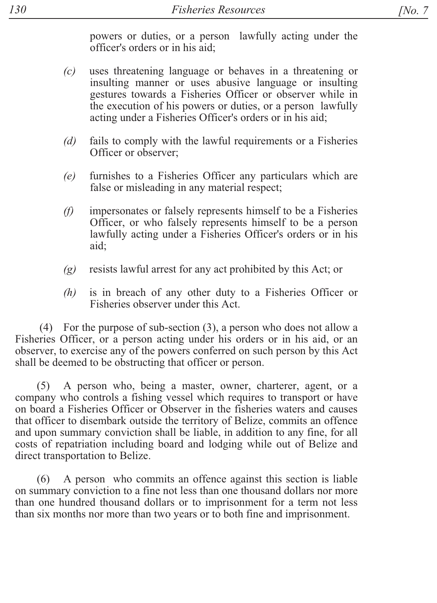powers or duties, or a person lawfully acting under the officer's orders or in his aid;

- uses threatening language or behaves in a threatening or  $(c)$ insulting manner or uses abusive language or insulting gestures towards a Fisheries Officer or observer while in the execution of his powers or duties, or a person lawfully acting under a Fisheries Officer's orders or in his aid:
- fails to comply with the lawful requirements or a Fisheries  $(d)$ Officer or observer:
- furnishes to a Fisheries Officer any particulars which are  $(e)$ false or misleading in any material respect;
- impersonates or falsely represents himself to be a Fisheries  $(f)$ Officer, or who falsely represents himself to be a person lawfully acting under a Fisheries Officer's orders or in his aid:
- resists lawful arrest for any act prohibited by this Act; or  $\left( g\right)$
- is in breach of any other duty to a Fisheries Officer or  $(h)$ Fisheries observer under this Act

(4) For the purpose of sub-section  $(3)$ , a person who does not allow a Fisheries Officer, or a person acting under his orders or in his aid, or an observer, to exercise any of the powers conferred on such person by this Act shall be deemed to be obstructing that officer or person.

A person who, being a master, owner, charterer, agent, or a  $(5)$ company who controls a fishing vessel which requires to transport or have on board a Fisheries Officer or Observer in the fisheries waters and causes that officer to disembark outside the territory of Belize, commits an offence and upon summary conviction shall be liable, in addition to any fine, for all costs of repatriation including board and lodging while out of Belize and direct transportation to Belize.

A person who commits an offence against this section is liable  $(6)$ on summary conviction to a fine not less than one thousand dollars nor more than one hundred thousand dollars or to imprisonment for a term not less than six months nor more than two years or to both fine and imprisonment.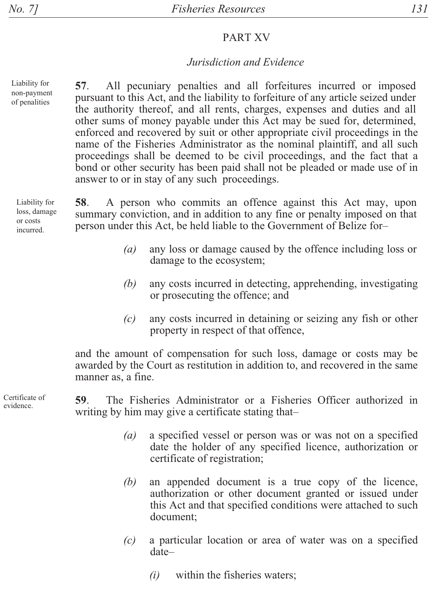## PART XV

#### *Jurisdiction and Evidence*

Liability for non-payment of penalities

57. All pecuniary penalties and all forfeitures incurred or imposed pursuant to this Act, and the liability to forfeiture of any article seized under the authority thereof, and all rents, charges, expenses and duties and all other sums of money payable under this Act may be sued for, determined, enforced and recovered by suit or other appropriate civil proceedings in the name of the Fisheries Administrator as the nominal plaintiff, and all such proceedings shall be deemed to be civil proceedings, and the fact that a bond or other security has been paid shall not be pleaded or made use of in answer to or in stay of any such proceedings.

Liability for loss, damage or costs incurred.

**58**. A person who commits an offence against this Act may, upon summary conviction, and in addition to any fine or penalty imposed on that person under this Act, be held liable to the Government of Belize for-

- (a) any loss or damage caused by the offence including loss or damage to the ecosystem;
- $(b)$  any costs incurred in detecting, apprehending, investigating or prosecuting the offence; and
- $(c)$  any costs incurred in detaining or seizing any fish or other property in respect of that offence,

and the amount of compensation for such loss, damage or costs may be awarded by the Court as restitution in addition to, and recovered in the same manner as, a fine.

Certificate of evidence

59. The Fisheries Administrator or a Fisheries Officer authorized in writing by him may give a certificate stating that-

- $(a)$  a specified vessel or person was or was not on a specified date the holder of any specified licence, authorization or certificate of registration;
- $(b)$  an appended document is a true copy of the licence, authorization or other document granted or issued under this Act and that specified conditions were attached to such document;
- *(c)* a particular location or area of water was on a specified date-
	- $(i)$  within the fisheries waters;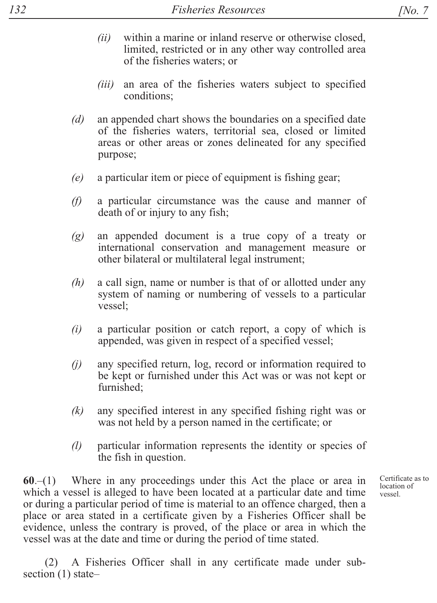- $(ii)$  within a marine or inland reserve or otherwise closed, limited, restricted or in any other way controlled area of the fisheries waters; or
- *(iii)* an area of the fisheries waters subject to specified conditions;
- *(d)* an appended chart shows the boundaries on a specified date of the fisheries waters, territorial sea, closed or limited areas or other areas or zones delineated for any specified purpose;
- *(e)* a particular item or piece of equipment is fishing gear;
- *(f)* a particular circumstance was the cause and manner of death of or injury to any fish;
- $(g)$  an appended document is a true copy of a treaty or international conservation and management measure or other bilateral or multilateral legal instrument;
- $(h)$  a call sign, name or number is that of or allotted under any system of naming or numbering of vessels to a particular vessel;
- $(i)$  a particular position or catch report, a copy of which is appended, was given in respect of a specified vessel;
- $(i)$  any specified return, log, record or information required to be kept or furnished under this Act was or was not kept or furnished:
- $(k)$  any specified interest in any specified fishing right was or was not held by a person named in the certificate; or
- *(l)* particular information represents the identity or species of the fish in question.

 $60-(1)$  Where in any proceedings under this Act the place or area in which a vessel is alleged to have been located at a particular date and time or during a particular period of time is material to an offence charged, then a place or area stated in a certificate given by a Fisheries Officer shall be evidence, unless the contrary is proved, of the place or area in which the vessel was at the date and time or during the period of time stated.

A Fisheries Officer shall in any certificate made under subsection  $(1)$  stateCertificate as to location of vessel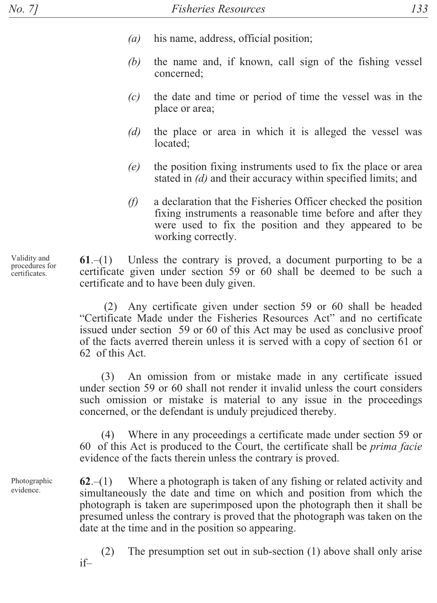- $(a)$ his name, address, official position;
- the name and, if known, call sign of the fishing vessel (b) concerned:
- $(c)$ the date and time or period of time the vessel was in the place or area;
- $(d)$ the place or area in which it is alleged the vessel was located:
- $(e)$ the position fixing instruments used to fix the place or area stated in (d) and their accuracy within specified limits; and
- $(f)$ a declaration that the Fisheries Officer checked the position fixing instruments a reasonable time before and after they were used to fix the position and they appeared to be working correctly.

Unless the contrary is proved, a document purporting to be a  $61 - (1)$ certificate given under section 59 or 60 shall be deemed to be such a certificate and to have been duly given.

(2) Any certificate given under section 59 or 60 shall be headed "Certificate Made under the Fisheries Resources Act" and no certificate issued under section 59 or 60 of this Act may be used as conclusive proof of the facts averred therein unless it is served with a copy of section 61 or 62 of this Act.

(3) An omission from or mistake made in any certificate issued under section 59 or 60 shall not render it invalid unless the court considers such omission or mistake is material to any issue in the proceedings concerned, or the defendant is unduly prejudiced thereby.

(4) Where in any proceedings a certificate made under section 59 or 60 of this Act is produced to the Court, the certificate shall be *prima facie* evidence of the facts therein unless the contrary is proved.

Where a photograph is taken of any fishing or related activity and  $62 - (1)$ simultaneously the date and time on which and position from which the photograph is taken are superimposed upon the photograph then it shall be presumed unless the contrary is proved that the photograph was taken on the date at the time and in the position so appearing.

The presumption set out in sub-section  $(1)$  above shall only arise  $(2)$  $if =$ 

Validity and procedures for certificates.

Photographic

evidence.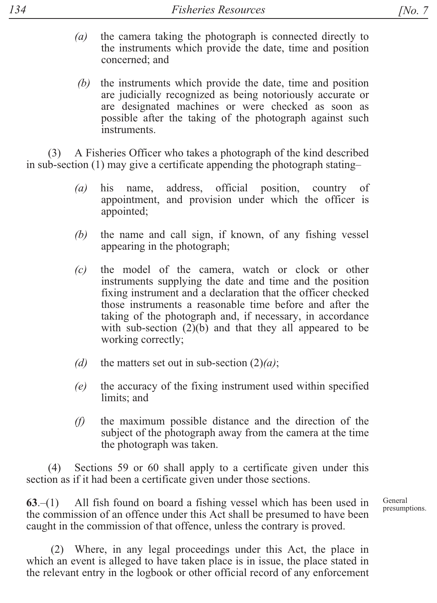- $(a)$  the camera taking the photograph is connected directly to the instruments which provide the date, time and position concerned; and
- $(b)$  the instruments which provide the date, time and position are judicially recognized as being notoriously accurate or are designated machines or were checked as soon as possible after the taking of the photograph against such instruments.

 $\Delta$  A Fisheries Officer who takes a photograph of the kind described in sub-section (1) may give a certificate appending the photograph stating-

- $(a)$  his name, address, official position, country of appointment, and provision under which the officer is appointed;
- $(b)$  the name and call sign, if known, of any fishing vessel appearing in the photograph;
- *(c)* the model of the camera, watch or clock or other instruments supplying the date and time and the position fixing instrument and a declaration that the officer checked those instruments a reasonable time before and after the taking of the photograph and, if necessary, in accordance with sub-section  $(2)(b)$  and that they all appeared to be working correctly;
- *(d)* the matters set out in sub-section  $(2)(a)$ ;
- $(e)$  the accuracy of the fixing instrument used within specified limits; and
- $(f)$  the maximum possible distance and the direction of the subject of the photograph away from the camera at the time the photograph was taken.

 $(4)$  Sections 59 or 60 shall apply to a certificate given under this section as if it had been a certificate given under those sections.

 $63-(1)$  All fish found on board a fishing vessel which has been used in the commission of an offence under this Act shall be presumed to have been caught in the commission of that offence, unless the contrary is proved.

 $(2)$  Where, in any legal proceedings under this Act, the place in which an event is alleged to have taken place is in issue, the place stated in the relevant entry in the logbook or other official record of any enforcement

General presumptions.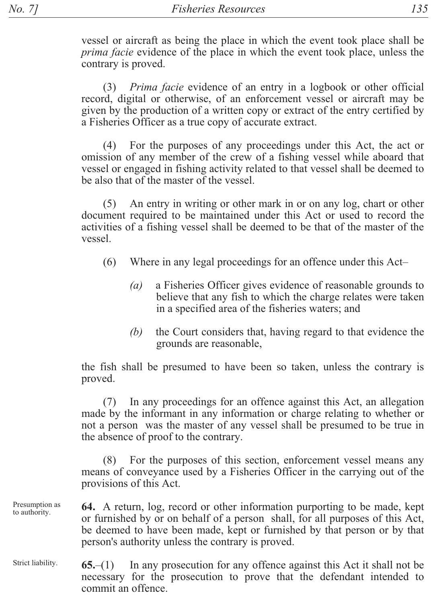vessel or aircraft as being the place in which the event took place shall be *prima facie* evidence of the place in which the event took place, unless the contrary is proved.

*Prima facie* evidence of an entry in a logbook or other official  $(3)$ record, digital or otherwise, of an enforcement vessel or aircraft may be given by the production of a written copy or extract of the entry certified by a Fisheries Officer as a true copy of accurate extract.

For the purposes of any proceedings under this Act, the act or  $(4)$ omission of any member of the crew of a fishing vessel while aboard that vessel or engaged in fishing activity related to that vessel shall be deemed to be also that of the master of the vessel.

An entry in writing or other mark in or on any log, chart or other  $(5)$ document required to be maintained under this Act or used to record the activities of a fishing vessel shall be deemed to be that of the master of the vessel.

- $(6)$ Where in any legal proceedings for an offence under this Act-
	- $(a)$ a Fisheries Officer gives evidence of reasonable grounds to believe that any fish to which the charge relates were taken in a specified area of the fisheries waters; and
	- the Court considers that, having regard to that evidence the  $(b)$ grounds are reasonable,

the fish shall be presumed to have been so taken, unless the contrary is proved.

In any proceedings for an offence against this Act, an allegation  $(7)$ made by the informant in any information or charge relating to whether or not a person was the master of any vessel shall be presumed to be true in the absence of proof to the contrary.

(8) For the purposes of this section, enforcement vessel means any means of conveyance used by a Fisheries Officer in the carrying out of the provisions of this Act.

Presumption as **64.** A return, log, record or other information purporting to be made, kept to authority. or furnished by or on behalf of a person shall, for all purposes of this Act, be deemed to have been made, kept or furnished by that person or by that person's authority unless the contrary is proved.

Strict liability. In any prosecution for any offence against this Act it shall not be  $65-(1)$ necessary for the prosecution to prove that the defendant intended to commit an offence.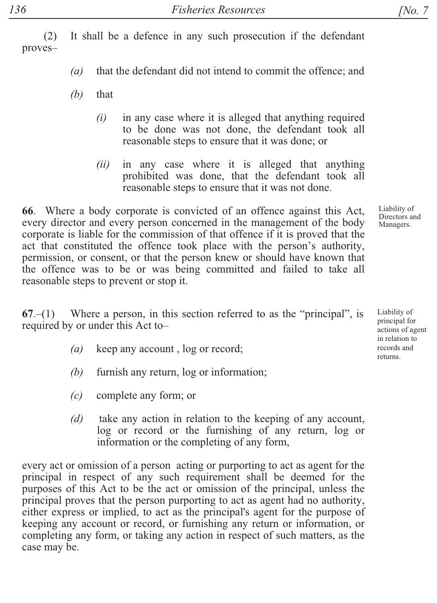$(2)$  It shall be a defence in any such prosecution if the defendant proves-

- $(a)$  that the defendant did not intend to commit the offence; and
- $(b)$  that
	- $(i)$  in any case where it is alleged that anything required to be done was not done, the defendant took all reasonable steps to ensure that it was done; or
	- $(ii)$  in any case where it is alleged that anything prohibited was done, that the defendant took all reasonable steps to ensure that it was not done.

66. Where a body corporate is convicted of an offence against this Act, every director and every person concerned in the management of the body corporate is liable for the commission of that offence if it is proved that the act that constituted the offence took place with the person's authority, permission, or consent, or that the person knew or should have known that the offence was to be or was being committed and failed to take all reasonable steps to prevent or stop it.

 $67-(1)$  Where a person, in this section referred to as the "principal", is required by or under this Act to-

- *(a)* keep any account, log or record;
- $(b)$  furnish any return,  $log\space$  or information;
- *(c)* complete any form; or
- *(d)* take any action in relation to the keeping of any account, log or record or the furnishing of any return, log or information or the completing of any form,

every act or omission of a person acting or purporting to act as agent for the principal in respect of any such requirement shall be deemed for the purposes of this Act to be the act or omission of the principal, unless the principal proves that the person purporting to act as agent had no authority, either express or implied, to act as the principal's agent for the purpose of keeping any account or record, or furnishing any return or information, or completing any form, or taking any action in respect of such matters, as the case may be.

Liability of Directors and

Managers.

Liability of principal for actions of agent in relation to records and returns.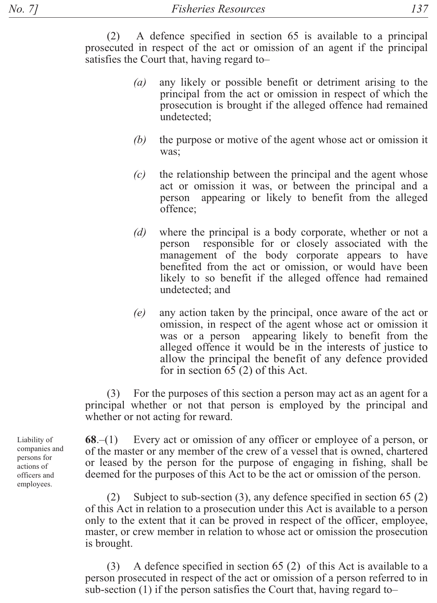$(2)$  A defence specified in section 65 is available to a principal prosecuted in respect of the act or omission of an agent if the principal satisfies the Court that, having regard to-

- *(a)* any likely or possible benefit or detriment arising to the principal from the act or omission in respect of which the prosecution is brought if the alleged offence had remained undetected;
- *(b)* the purpose or motive of the agent whose act or omission it was:
- $(c)$  the relationship between the principal and the agent whose act or omission it was, or between the principal and a person appearing or likely to benefit from the alleged offence;
- *(d)* where the principal is a body corporate, whether or not a person responsible for or closely associated with the management of the body corporate appears to have benefited from the act or omission, or would have been likely to so benefit if the alleged offence had remained undetected; and
- $(e)$  any action taken by the principal, once aware of the act or omission, in respect of the agent whose act or omission it was or a person appearing likely to benefit from the alleged offence it would be in the interests of justice to allow the principal the benefit of any defence provided for in section 65  $(2)$  of this Act.

 $\lambda$  For the purposes of this section a person may act as an agent for a principal whether or not that person is employed by the principal and whether or not acting for reward.

 $68-(1)$  Every act or omission of any officer or employee of a person, or of the master or any member of the crew of a vessel that is owned, chartered or leased by the person for the purpose of engaging in fishing, shall be deemed for the purposes of this Act to be the act or omission of the person.

(2) Subject to sub-section (3), any defence specified in section 65 (2) of this Act in relation to a prosecution under this Act is available to a person only to the extent that it can be proved in respect of the officer, employee, master, or crew member in relation to whose act or omission the prosecution is brought.

 $(3)$  A defence specified in section 65 (2) of this Act is available to a person prosecuted in respect of the act or omission of a person referred to in sub-section  $(1)$  if the person satisfies the Court that, having regard to-

Liability of companies and persons for actions of officers and employees.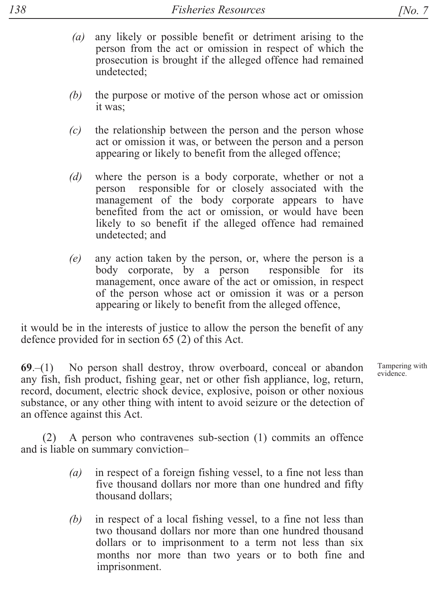- any likely or possible benefit or detriment arising to the  $(a)$ person from the act or omission in respect of which the prosecution is brought if the alleged offence had remained undetected:
- (b) the purpose or motive of the person whose act or omission it was:
- $(c)$ the relationship between the person and the person whose act or omission it was, or between the person and a person appearing or likely to benefit from the alleged offence;
- where the person is a body corporate, whether or not a  $(d)$ person responsible for or closely associated with the management of the body corporate appears to have benefited from the act or omission, or would have been likely to so benefit if the alleged offence had remained undetected: and
- any action taken by the person, or, where the person is a  $(e)$ body corporate, by a person responsible for its management, once aware of the act or omission, in respect of the person whose act or omission it was or a person appearing or likely to benefit from the alleged offence,

it would be in the interests of justice to allow the person the benefit of any defence provided for in section  $65(2)$  of this Act.

 $69-(1)$  No person shall destroy, throw overboard, conceal or abandon any fish, fish product, fishing gear, net or other fish appliance, log, return, record, document, electric shock device, explosive, poison or other noxious substance, or any other thing with intent to avoid seizure or the detection of an offence against this Act.

A person who contravenes sub-section (1) commits an offence  $(2)$ and is liable on summary conviction-

- $(a)$ in respect of a foreign fishing vessel, to a fine not less than five thousand dollars nor more than one hundred and fifty thousand dollars:
- in respect of a local fishing vessel, to a fine not less than (b) two thousand dollars nor more than one hundred thousand dollars or to imprisonment to a term not less than six months nor more than two years or to both fine and imprisonment.

Tampering with evidence.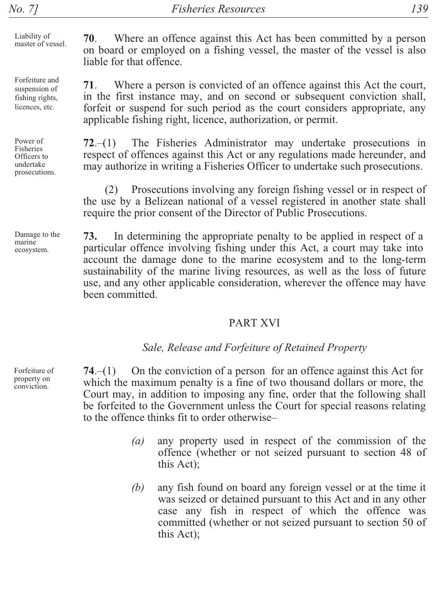Liability of master of vessel.

Forfeiture and suspension of fishing rights, licences, etc.

Power of Fisheries Officers to undertake prosecutions.

Damage to the marine ecosystem.

70. Where an offence against this Act has been committed by a person on board or employed on a fishing vessel, the master of the vessel is also liable for that offence

71. Where a person is convicted of an offence against this Act the court, in the first instance may, and on second or subsequent conviction shall, forfeit or suspend for such period as the court considers appropriate, any applicable fishing right, licence, authorization, or permit.

The Fisheries Administrator may undertake prosecutions in  $72 - (1)$ respect of offences against this Act or any regulations made hereunder, and may authorize in writing a Fisheries Officer to undertake such prosecutions.

Prosecutions involving any foreign fishing vessel or in respect of the use by a Belizean national of a vessel registered in another state shall require the prior consent of the Director of Public Prosecutions.

73. In determining the appropriate penalty to be applied in respect of a particular offence involving fishing under this Act, a court may take into account the damage done to the marine ecosystem and to the long-term sustainability of the marine living resources, as well as the loss of future use, and any other applicable consideration, wherever the offence may have heen committed

#### **PART XVI**

#### Sale, Release and Forfeiture of Retained Property

 $74-(1)$ On the conviction of a person for an offence against this Act for which the maximum penalty is a fine of two thousand dollars or more, the Court may, in addition to imposing any fine, order that the following shall be forfeited to the Government unless the Court for special reasons relating to the offence thinks fit to order otherwise-

- $(a)$ any property used in respect of the commission of the offence (whether or not seized pursuant to section 48 of this Act);
- (b) any fish found on board any foreign vessel or at the time it was seized or detained pursuant to this Act and in any other case any fish in respect of which the offence was committed (whether or not seized pursuant to section 50 of this Act):

Forfeiture of property on conviction.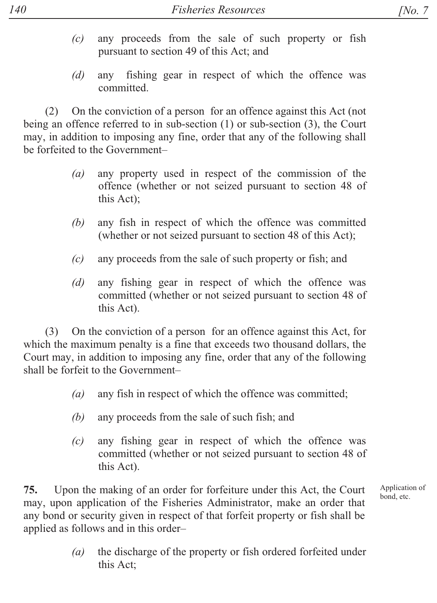- $(c)$  any proceeds from the sale of such property or fish pursuant to section 49 of this Act; and
- *(d)* any fishing gear in respect of which the offence was committed

(2) On the conviction of a person for an offence against this Act (not being an offence referred to in sub-section  $(1)$  or sub-section  $(3)$ , the Court may, in addition to imposing any fine, order that any of the following shall be forfeited to the Government-

- $(a)$  any property used in respect of the commission of the offence (whether or not seized pursuant to section 48 of this  $Act)$ ;
- $(b)$  any fish in respect of which the offence was committed (whether or not seized pursuant to section 48 of this Act);
- $(c)$  any proceeds from the sale of such property or fish; and
- *(d)* any fishing gear in respect of which the offence was committed (whether or not seized pursuant to section 48 of this Act).

 $(3)$  On the conviction of a person for an offence against this Act, for which the maximum penalty is a fine that exceeds two thousand dollars, the Court may, in addition to imposing any fine, order that any of the following shall be forfeit to the Government-

- $(a)$  any fish in respect of which the offence was committed;
- *(b)* any proceeds from the sale of such fish; and
- $(c)$  any fishing gear in respect of which the offence was committed (whether or not seized pursuant to section 48 of this Act).

75. Upon the making of an order for forfeiture under this Act, the Court may, upon application of the Fisheries Administrator, make an order that any bond or security given in respect of that forfeit property or fish shall be applied as follows and in this order-

> $(a)$  the discharge of the property or fish ordered forfeited under this Act: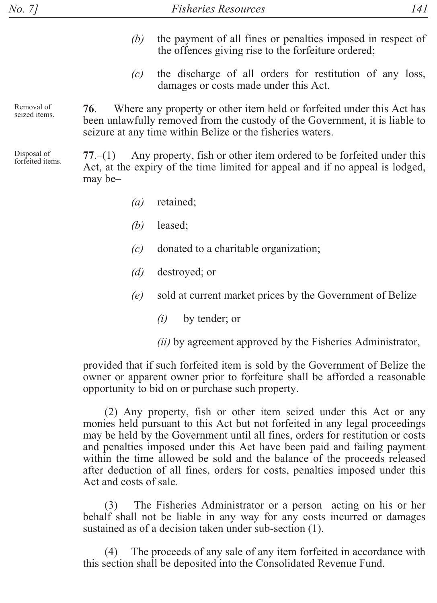- $(b)$  the payment of all fines or penalties imposed in respect of the offences giving rise to the forfeiture ordered;
- $(c)$  the discharge of all orders for restitution of any loss, damages or costs made under this Act.

Removal of seized items.

76. Where any property or other item held or forfeited under this Act has been unlawfully removed from the custody of the Government, it is liable to seizure at any time within Belize or the fisheries waters.

Disposal of forfeited items.

 $77-(1)$  Any property, fish or other item ordered to be forfeited under this Act, at the expiry of the time limited for appeal and if no appeal is lodged,  $\text{max}$  be-

- *(a)* retained;
- *(b)* leased;
- *(c)* donated to a charitable organization;
- *(d)* destroyed; or
- $(e)$  sold at current market prices by the Government of Belize
	- $(i)$  by tender; or
	- $(ii)$  by agreement approved by the Fisheries Administrator,

provided that if such forfeited item is sold by the Government of Belize the owner or apparent owner prior to forfeiture shall be afforded a reasonable opportunity to bid on or purchase such property.

 $(2)$  Any property, fish or other item seized under this Act or any monies held pursuant to this Act but not forfeited in any legal proceedings may be held by the Government until all fines, orders for restitution or costs and penalties imposed under this Act have been paid and failing payment within the time allowed be sold and the balance of the proceeds released after deduction of all fines, orders for costs, penalties imposed under this Act and costs of sale

(3) The Fisheries Administrator or a person acting on his or her behalf shall not be liable in any way for any costs incurred or damages sustained as of a decision taken under sub-section  $(1)$ .

 $(4)$  The proceeds of any sale of any item forfeited in accordance with this section shall be deposited into the Consolidated Revenue Fund.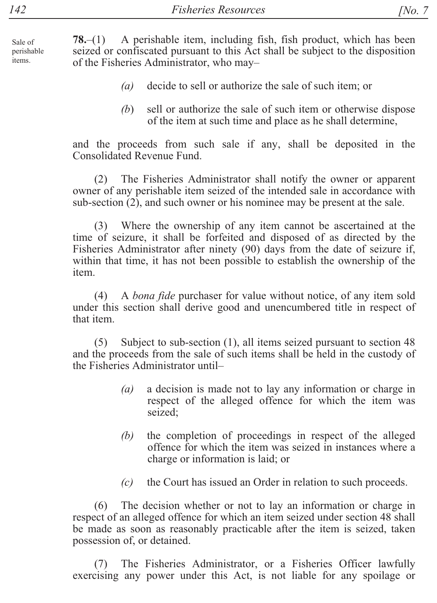Sale of perishable items.

A perishable item, including fish, fish product, which has been  $78-(1)$ seized or confiscated pursuant to this Act shall be subject to the disposition of the Fisheries Administrator, who may-

- decide to sell or authorize the sale of such item; or  $(a)$
- $(b)$ sell or authorize the sale of such item or otherwise dispose of the item at such time and place as he shall determine,

and the proceeds from such sale if any, shall be deposited in the Consolidated Revenue Fund.

The Fisheries Administrator shall notify the owner or apparent  $(2)$ owner of any perishable item seized of the intended sale in accordance with sub-section  $(2)$ , and such owner or his nominee may be present at the sale.

Where the ownership of any item cannot be ascertained at the  $(3)$ time of seizure, it shall be forfeited and disposed of as directed by the Fisheries Administrator after ninety (90) days from the date of seizure if, within that time, it has not been possible to establish the ownership of the item.

A *bona fide* purchaser for value without notice, of any item sold  $(4)$ under this section shall derive good and unencumbered title in respect of that item.

Subject to sub-section (1), all items seized pursuant to section 48  $(5)$ and the proceeds from the sale of such items shall be held in the custody of the Fisheries Administrator until-

- a decision is made not to lay any information or charge in  $(a)$ respect of the alleged offence for which the item was seized;
- the completion of proceedings in respect of the alleged (b) offence for which the item was seized in instances where a charge or information is laid; or
- $(c)$ the Court has issued an Order in relation to such proceeds.

The decision whether or not to lay an information or charge in  $(6)$ respect of an alleged offence for which an item seized under section 48 shall be made as soon as reasonably practicable after the item is seized, taken possession of, or detained.

The Fisheries Administrator, or a Fisheries Officer lawfully  $(7)$ exercising any power under this Act, is not liable for any spoilage or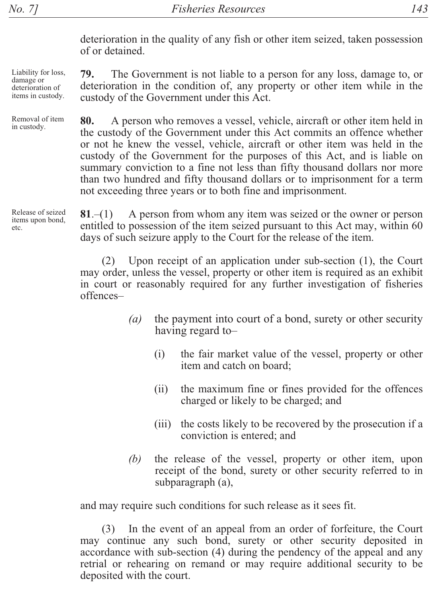custody of the Government under this Act.

 $143$ 

deterioration in the quality of any fish or other item seized, taken possession of or detained.

deterioration in the condition of, any property or other item while in the

The Government is not liable to a person for any loss, damage to, or

Liability for loss, damage or deterioration of items in custody.

79.

Removal of item in custody.

80. A person who removes a vessel, vehicle, aircraft or other item held in the custody of the Government under this Act commits an offence whether or not he knew the vessel, vehicle, aircraft or other item was held in the custody of the Government for the purposes of this Act, and is liable on summary conviction to a fine not less than fifty thousand dollars nor more than two hundred and fifty thousand dollars or to imprisonment for a term not exceeding three years or to both fine and imprisonment.

A person from whom any item was seized or the owner or person  $81 - (1)$ entitled to possession of the item seized pursuant to this Act may, within 60 days of such seizure apply to the Court for the release of the item.

 $(2)$ Upon receipt of an application under sub-section (1), the Court may order, unless the vessel, property or other item is required as an exhibit in court or reasonably required for any further investigation of fisheries offences-

- the payment into court of a bond, surety or other security  $\left( a\right)$ having regard to-
	- $(i)$ the fair market value of the vessel, property or other item and catch on board:
	- $(ii)$ the maximum fine or fines provided for the offences charged or likely to be charged; and
	- the costs likely to be recovered by the prosecution if a  $(iii)$ conviction is entered; and
- the release of the vessel, property or other item, upon (b) receipt of the bond, surety or other security referred to in subparagraph (a),

and may require such conditions for such release as it sees fit.

In the event of an appeal from an order of forfeiture, the Court  $(3)$ may continue any such bond, surety or other security deposited in accordance with sub-section (4) during the pendency of the appeal and any retrial or rehearing on remand or may require additional security to be deposited with the court.

Release of seized items upon bond, etc.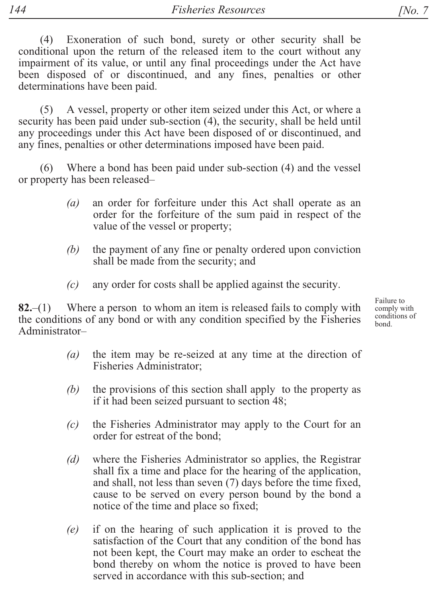(4) Exoneration of such bond, surety or other security shall be conditional upon the return of the released item to the court without any impairment of its value, or until any final proceedings under the Act have been disposed of or discontinued, and any fines, penalties or other determinations have been paid.

A vessel, property or other item seized under this Act, or where a  $(5)$ security has been paid under sub-section (4), the security, shall be held until any proceedings under this Act have been disposed of or discontinued, and any fines, penalties or other determinations imposed have been paid.

 $(6)$ Where a bond has been paid under sub-section (4) and the vessel or property has been released-

- $(a)$ an order for forfeiture under this Act shall operate as an order for the forfeiture of the sum paid in respect of the value of the vessel or property;
- the payment of any fine or penalty ordered upon conviction  $(b)$ shall be made from the security; and
- any order for costs shall be applied against the security.  $(c)$

 $82 - (1)$ Where a person to whom an item is released fails to comply with the conditions of any bond or with any condition specified by the Fisheries Administrator-

- the item may be re-seized at any time at the direction of  $(a)$ Fisheries Administrator;
- the provisions of this section shall apply to the property as  $(b)$ if it had been seized pursuant to section 48;
- $(c)$ the Fisheries Administrator may apply to the Court for an order for estreat of the bond;
- $(d)$ where the Fisheries Administrator so applies, the Registrar shall fix a time and place for the hearing of the application, and shall, not less than seven (7) days before the time fixed, cause to be served on every person bound by the bond a notice of the time and place so fixed;
- if on the hearing of such application it is proved to the  $(e)$ satisfaction of the Court that any condition of the bond has not been kept, the Court may make an order to escheat the bond thereby on whom the notice is proved to have been served in accordance with this sub-section; and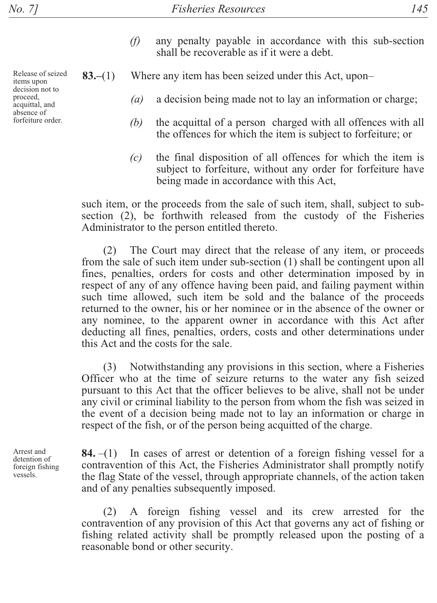- $(f)$  any penalty payable in accordance with this sub-section shall be recoverable as if it were a debt.
- **83.** (1) Where any item has been seized under this Act, upon-
	- (a) a decision being made not to lay an information or charge;
	- *(b)* the acquittal of a person charged with all offences with all the offences for which the item is subject to forfeiture; or
	- $(c)$  the final disposition of all offences for which the item is subject to forfeiture, without any order for forfeiture have being made in accordance with this Act,

such item, or the proceeds from the sale of such item, shall, subject to subsection  $(2)$ , be forthwith released from the custody of the Fisheries Administrator to the person entitled thereto.

(2) The Court may direct that the release of any item, or proceeds from the sale of such item under sub-section  $(1)$  shall be contingent upon all fines, penalties, orders for costs and other determination imposed by in respect of any of any offence having been paid, and failing payment within such time allowed, such item be sold and the balance of the proceeds returned to the owner, his or her nominee or in the absence of the owner or any nominee, to the apparent owner in accordance with this Act after deducting all fines, penalties, orders, costs and other determinations under this Act and the costs for the sale.

(3) Notwithstanding any provisions in this section, where a Fisheries Officer who at the time of seizure returns to the water any fish seized pursuant to this Act that the officer believes to be alive, shall not be under any civil or criminal liability to the person from whom the fish was seized in the event of a decision being made not to lay an information or charge in respect of the fish, or of the person being acquitted of the charge.

Arrest and detention of foreign fishing vessels.

**84.**  $-(1)$  In cases of arrest or detention of a foreign fishing vessel for a contravention of this Act, the Fisheries Administrator shall promptly notify the flag State of the vessel, through appropriate channels, of the action taken and of any penalties subsequently imposed.

(2) A foreign fishing vessel and its crew arrested for the contravention of any provision of this Act that governs any act of fishing or fishing related activity shall be promptly released upon the posting of a reasonable bond or other security.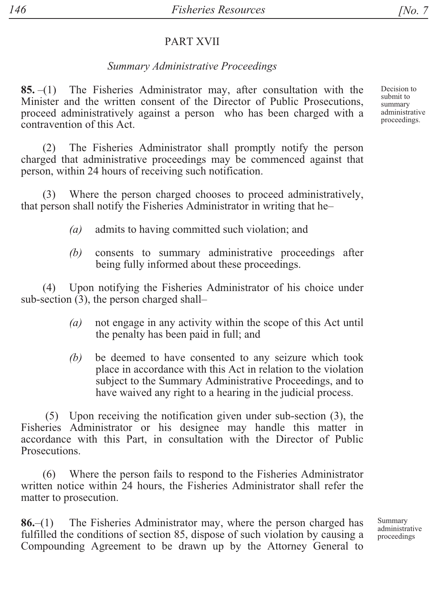#### PART XVII

#### *Summary Administrative Proceedings*

85. $-(1)$  The Fisheries Administrator may, after consultation with the Minister and the written consent of the Director of Public Prosecutions. proceed administratively against a person who has been charged with a contravention of this Act.

(2) The Fisheries Administrator shall promptly notify the person charged that administrative proceedings may be commenced against that person, within 24 hours of receiving such notification.

(3) Where the person charged chooses to proceed administratively, that person shall notify the Fisheries Administrator in writing that he-

- (a) admits to having committed such violation; and
- *(b)* consents to summary administrative proceedings after being fully informed about these proceedings.

(4) Upon notifying the Fisheries Administrator of his choice under sub-section  $(3)$ , the person charged shall-

- $(a)$  not engage in any activity within the scope of this Act until the penalty has been paid in full; and
- *(b)* be deemed to have consented to any seizure which took place in accordance with this Act in relation to the violation subject to the Summary Administrative Proceedings, and to have waived any right to a hearing in the judicial process.

 $(5)$  Upon receiving the notification given under sub-section  $(3)$ , the Fisheries Administrator or his designee may handle this matter in accordance with this Part, in consultation with the Director of Public Prosecutions.

 $(6)$  Where the person fails to respond to the Fisheries Administrator written notice within 24 hours, the Fisheries Administrator shall refer the matter to prosecution.

 $86-(1)$  The Fisheries Administrator may, where the person charged has fulfilled the conditions of section 85, dispose of such violation by causing a Compounding Agreement to be drawn up by the Attorney General to

Summary administrative proceedings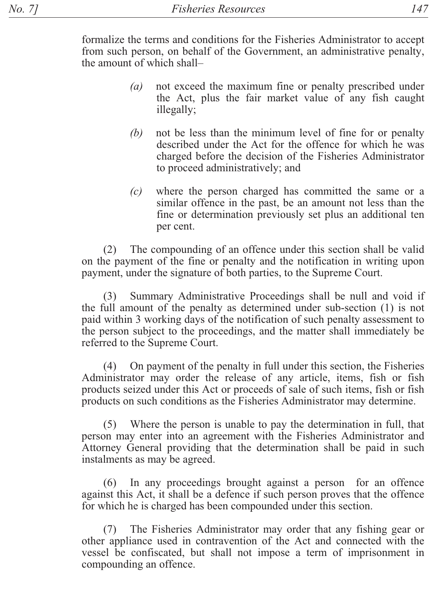formalize the terms and conditions for the Fisheries Administrator to accept from such person, on behalf of the Government, an administrative penalty, the amount of which shall-

- $(a)$ not exceed the maximum fine or penalty prescribed under the Act, plus the fair market value of any fish caught illegally;
- not be less than the minimum level of fine for or penalty (b) described under the Act for the offence for which he was charged before the decision of the Fisheries Administrator to proceed administratively; and
- where the person charged has committed the same or a  $(c)$ similar offence in the past, be an amount not less than the fine or determination previously set plus an additional ten per cent.

(2) The compounding of an offence under this section shall be valid on the payment of the fine or penalty and the notification in writing upon payment, under the signature of both parties, to the Supreme Court.

Summary Administrative Proceedings shall be null and void if  $(3)$ the full amount of the penalty as determined under sub-section (1) is not paid within 3 working days of the notification of such penalty assessment to the person subject to the proceedings, and the matter shall immediately be referred to the Supreme Court.

 $(4)$ On payment of the penalty in full under this section, the Fisheries Administrator may order the release of any article, items, fish or fish products seized under this Act or proceeds of sale of such items, fish or fish products on such conditions as the Fisheries Administrator may determine.

 $(5)$ Where the person is unable to pay the determination in full, that person may enter into an agreement with the Fisheries Administrator and Attorney General providing that the determination shall be paid in such instalments as may be agreed.

 $(6)$ In any proceedings brought against a person for an offence against this Act, it shall be a defence if such person proves that the offence for which he is charged has been compounded under this section.

The Fisheries Administrator may order that any fishing gear or other appliance used in contravention of the Act and connected with the vessel be confiscated, but shall not impose a term of imprisonment in compounding an offence.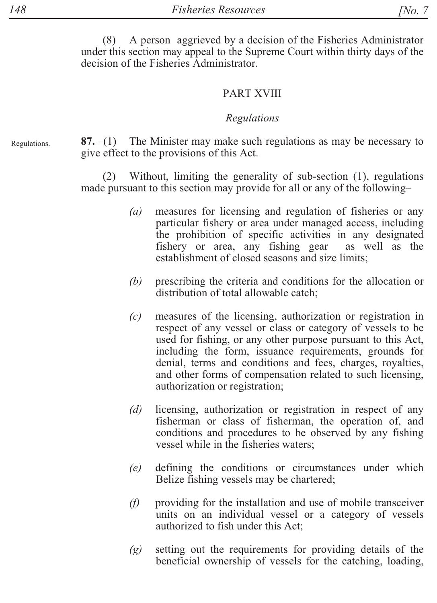(8) A person aggrieved by a decision of the Fisheries Administrator under this section may appeal to the Supreme Court within thirty days of the decision of the Fisheries Administrator.

#### **PART XVIII**

#### Regulations

Regulations.

87.  $-(1)$  The Minister may make such regulations as may be necessary to give effect to the provisions of this Act.

(2) Without, limiting the generality of sub-section (1), regulations made pursuant to this section may provide for all or any of the following-

- measures for licensing and regulation of fisheries or any  $(a)$ particular fishery or area under managed access, including the prohibition of specific activities in any designated fishery or area, any fishing gear as well as the establishment of closed seasons and size limits:
- $(b)$ prescribing the criteria and conditions for the allocation or distribution of total allowable catch:
- $(c)$ measures of the licensing, authorization or registration in respect of any vessel or class or category of vessels to be used for fishing, or any other purpose pursuant to this Act, including the form, issuance requirements, grounds for denial, terms and conditions and fees, charges, royalties, and other forms of compensation related to such licensing, authorization or registration;
- licensing, authorization or registration in respect of any  $(d)$ fisherman or class of fisherman, the operation of, and conditions and procedures to be observed by any fishing vessel while in the fisheries waters;
- $(e)$ defining the conditions or circumstances under which Belize fishing vessels may be chartered;
- providing for the installation and use of mobile transceiver (f) units on an individual vessel or a category of vessels authorized to fish under this Act:
- setting out the requirements for providing details of the  $(g)$ beneficial ownership of vessels for the catching, loading,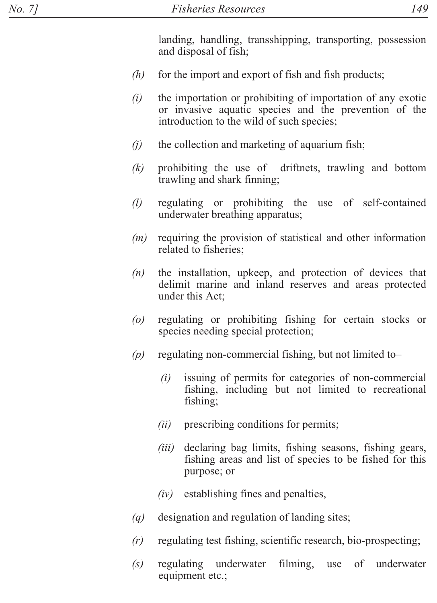landing, handling, transshipping, transporting, possession and disposal of fish;

- $(h)$ for the import and export of fish and fish products;
- $(i)$ the importation or prohibiting of importation of any exotic or invasive aquatic species and the prevention of the introduction to the wild of such species;
- $(i)$ the collection and marketing of aquarium fish;
- $(k)$ prohibiting the use of driftnets, trawling and bottom trawling and shark finning;
- $\left( l\right)$ regulating or prohibiting the use of self-contained underwater breathing apparatus;
- requiring the provision of statistical and other information  $(m)$ related to fisheries;
- the installation, upkeep, and protection of devices that  $(n)$ delimit marine and inland reserves and areas protected under this Act:
- $(0)$ regulating or prohibiting fishing for certain stocks or species needing special protection;
- $(p)$ regulating non-commercial fishing, but not limited to-
	- $(i)$ issuing of permits for categories of non-commercial fishing, including but not limited to recreational fishing:
	- $(ii)$ prescribing conditions for permits;
	- $(iii)$ declaring bag limits, fishing seasons, fishing gears, fishing areas and list of species to be fished for this purpose; or
	- $(iv)$ establishing fines and penalties,
- $(a)$ designation and regulation of landing sites.
- $(r)$ regulating test fishing, scientific research, bio-prospecting;
- $(s)$ regulating underwater filming, of underwater use equipment etc.: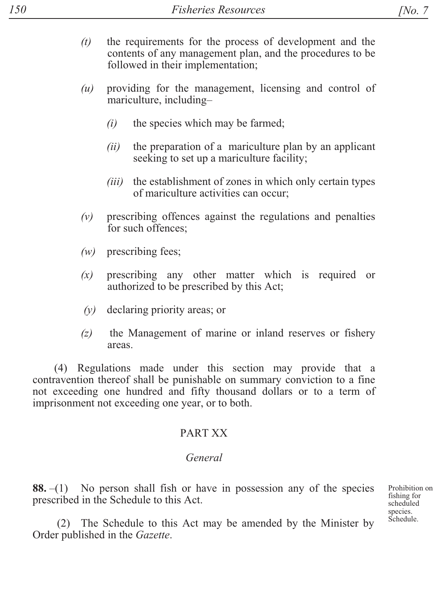- $(t)$  the requirements for the process of development and the contents of any management plan, and the procedures to be followed in their implementation;
- $(u)$  providing for the management, licensing and control of mariculture, including-
	- $(i)$  the species which may be farmed:
	- $(ii)$  the preparation of a mariculture plan by an applicant seeking to set up a mariculture facility;
	- $(iii)$  the establishment of zones in which only certain types of mariculture activities can occur;
- $(v)$  prescribing offences against the regulations and penalties for such offences:
- $(w)$  prescribing fees;
- $(x)$  prescribing any other matter which is required or authorized to be prescribed by this Act;
- $(v)$  declaring priority areas; or
- $(z)$  the Management of marine or inland reserves or fishery areas

(4) Regulations made under this section may provide that a contravention thereof shall be punishable on summary conviction to a fine not exceeding one hundred and fifty thousand dollars or to a term of imprisonment not exceeding one year, or to both.

## PART XX

## *General*

**88.**  $-(1)$  No person shall fish or have in possession any of the species prescribed in the Schedule to this Act.

Prohibition on fishing for scheduled species. Schedule.

 $(2)$  The Schedule to this Act may be amended by the Minister by Order published in the Gazette.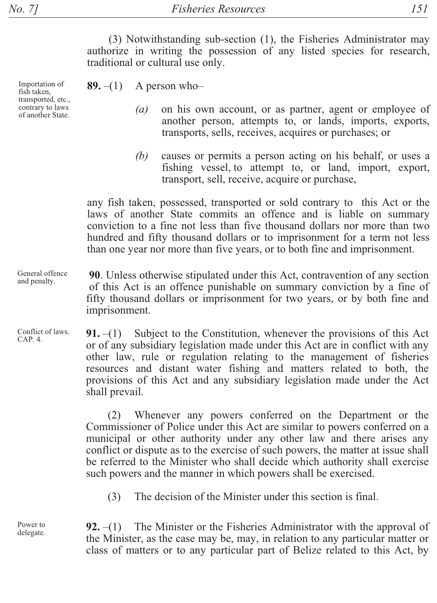Importation of

of another State.

fish taken, transported, etc., contrary to laws

(3) Notwithstanding sub-section (1), the Fisheries Administrator may authorize in writing the possession of any listed species for research, traditional or cultural use only.

 $89.-(1)$ A person who-

- on his own account, or as partner, agent or employee of  $(a)$ another person, attempts to, or lands, imports, exports, transports, sells, receives, acquires or purchases; or
- causes or permits a person acting on his behalf, or uses a  $(b)$ fishing vessel, to attempt to, or land, import, export, transport, sell, receive, acquire or purchase,

any fish taken, possessed, transported or sold contrary to this Act or the laws of another State commits an offence and is liable on summary conviction to a fine not less than five thousand dollars nor more than two hundred and fifty thousand dollars or to imprisonment for a term not less than one year nor more than five years, or to both fine and imprisonment.

90. Unless otherwise stipulated under this Act, contravention of any section of this Act is an offence punishable on summary conviction by a fine of fifty thousand dollars or imprisonment for two years, or by both fine and imprisonment.

Subject to the Constitution, whenever the provisions of this Act  $91. - (1)$ or of any subsidiary legislation made under this Act are in conflict with any other law, rule or regulation relating to the management of fisheries resources and distant water fishing and matters related to both, the provisions of this Act and any subsidiary legislation made under the Act shall prevail.

> (2) Whenever any powers conferred on the Department or the Commissioner of Police under this Act are similar to powers conferred on a municipal or other authority under any other law and there arises any conflict or dispute as to the exercise of such powers, the matter at issue shall be referred to the Minister who shall decide which authority shall exercise such powers and the manner in which powers shall be exercised.

The decision of the Minister under this section is final.  $(3)$ 

The Minister or the Fisheries Administrator with the approval of  $92. - (1)$ the Minister, as the case may be, may, in relation to any particular matter or class of matters or to any particular part of Belize related to this Act, by

General offence and penalty.

Conflict of laws. CAP. 4.

Power to delegate.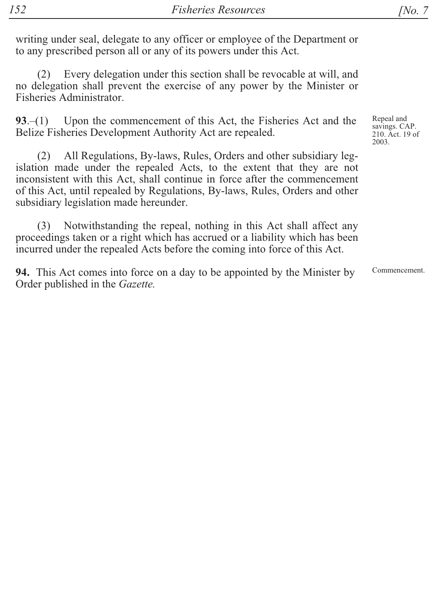writing under seal, delegate to any officer or employee of the Department or to any prescribed person all or any of its powers under this Act.

 $(2)$ Every delegation under this section shall be revocable at will, and no delegation shall prevent the exercise of any power by the Minister or Fisheries Administrator.

Upon the commencement of this Act, the Fisheries Act and the  $93-(1)$ Belize Fisheries Development Authority Act are repealed.

All Regulations, By-laws, Rules, Orders and other subsidiary leg- $(2)$ islation made under the repealed Acts, to the extent that they are not inconsistent with this Act, shall continue in force after the commencement of this Act, until repealed by Regulations, By-laws, Rules, Orders and other subsidiary legislation made hereunder.

Notwithstanding the repeal, nothing in this Act shall affect any  $(3)$ proceedings taken or a right which has accrued or a liability which has been incurred under the repealed Acts before the coming into force of this Act.

94. This Act comes into force on a day to be appointed by the Minister by Order published in the *Gazette*.

Repeal and savings. CAP. 210. Act. 19 of 2003

Commencement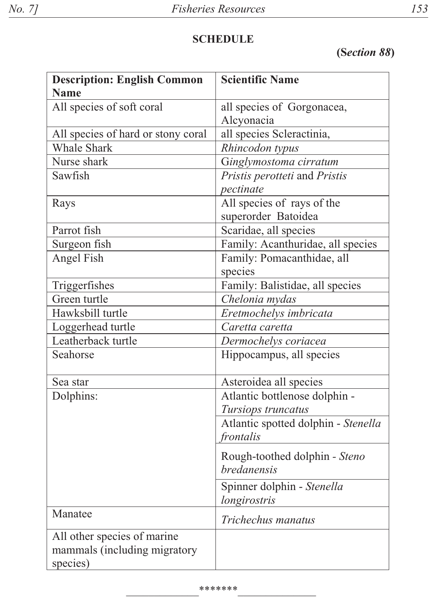# **SCHEDULE**

(Section 88)

| <b>Description: English Common</b><br><b>Name</b>                       | <b>Scientific Name</b>                              |
|-------------------------------------------------------------------------|-----------------------------------------------------|
| All species of soft coral                                               | all species of Gorgonacea,                          |
|                                                                         | Alcyonacia                                          |
| All species of hard or stony coral                                      | all species Scleractinia,                           |
| <b>Whale Shark</b>                                                      | Rhincodon typus                                     |
| Nurse shark                                                             | Ginglymostoma cirratum                              |
| Sawfish                                                                 | Pristis perotteti and Pristis                       |
|                                                                         | pectinate                                           |
| Rays                                                                    | All species of rays of the                          |
|                                                                         | superorder Batoidea                                 |
| Parrot fish                                                             | Scaridae, all species                               |
| Surgeon fish                                                            | Family: Acanthuridae, all species                   |
| Angel Fish                                                              | Family: Pomacanthidae, all                          |
|                                                                         | species                                             |
| Triggerfishes                                                           | Family: Balistidae, all species                     |
| Green turtle                                                            | Chelonia mydas                                      |
| Hawksbill turtle                                                        | Eretmochelys imbricata                              |
| Loggerhead turtle                                                       | Caretta caretta                                     |
| Leatherback turtle                                                      | Dermochelys coriacea                                |
| Seahorse                                                                | Hippocampus, all species                            |
| Sea star                                                                | Asteroidea all species                              |
| Dolphins:                                                               | Atlantic bottlenose dolphin -                       |
|                                                                         | Tursiops truncatus                                  |
|                                                                         | Atlantic spotted dolphin - Stenella                 |
|                                                                         | frontalis                                           |
|                                                                         | Rough-toothed dolphin - Steno<br><i>bredanensis</i> |
|                                                                         | Spinner dolphin - Stenella                          |
|                                                                         | longirostris                                        |
| Manatee                                                                 | Trichechus manatus                                  |
| All other species of marine<br>mammals (including migratory<br>species) |                                                     |
|                                                                         |                                                     |